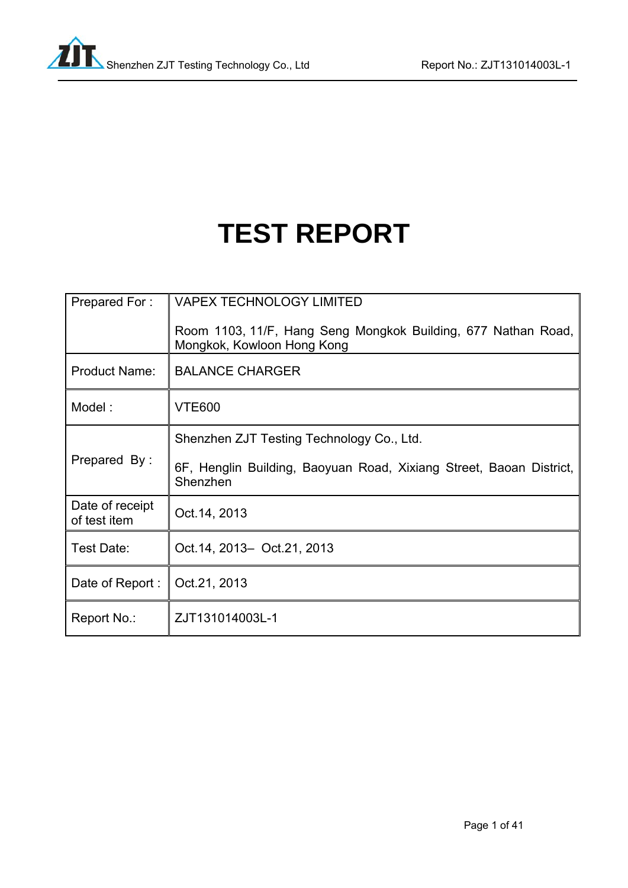# **TEST REPORT**

| Prepared For:                   | <b>VAPEX TECHNOLOGY LIMITED</b>                                                             |
|---------------------------------|---------------------------------------------------------------------------------------------|
|                                 | Room 1103, 11/F, Hang Seng Mongkok Building, 677 Nathan Road,<br>Mongkok, Kowloon Hong Kong |
| <b>Product Name:</b>            | <b>BALANCE CHARGER</b>                                                                      |
| Model:                          | <b>VTE600</b>                                                                               |
|                                 | Shenzhen ZJT Testing Technology Co., Ltd.                                                   |
| Prepared By:                    | 6F, Henglin Building, Baoyuan Road, Xixiang Street, Baoan District,<br>Shenzhen             |
| Date of receipt<br>of test item | Oct. 14, 2013                                                                               |
| Test Date:                      | Oct. 14, 2013 - Oct. 21, 2013                                                               |
| Date of Report:                 | Oct.21, 2013                                                                                |
| Report No.:                     | ZJT131014003L-1                                                                             |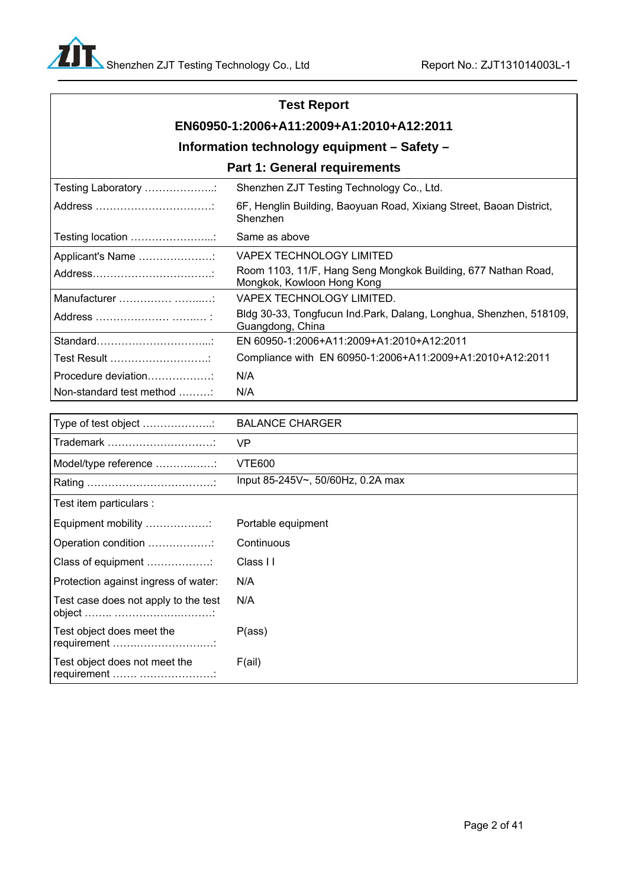## **Test Report**

## **EN60950-1:2006+A11:2009+A1:2010+A12:2011**

## **Information technology equipment – Safety –**

### **Part 1: General requirements**

| Testing Laboratory       | Shenzhen ZJT Testing Technology Co., Ltd.                                                   |
|--------------------------|---------------------------------------------------------------------------------------------|
|                          | 6F, Henglin Building, Baoyuan Road, Xixiang Street, Baoan District,<br>Shenzhen             |
|                          | Same as above                                                                               |
| Applicant's Name         | VAPEX TECHNOLOGY LIMITED                                                                    |
|                          | Room 1103, 11/F, Hang Seng Mongkok Building, 677 Nathan Road,<br>Mongkok, Kowloon Hong Kong |
|                          | VAPEX TECHNOLOGY LIMITED.                                                                   |
|                          | Bldg 30-33, Tongfucun Ind.Park, Dalang, Longhua, Shenzhen, 518109,<br>Guangdong, China      |
|                          | EN 60950-1:2006+A11:2009+A1:2010+A12:2011                                                   |
| Test Result              | Compliance with EN 60950-1:2006+A11:2009+A1:2010+A12:2011                                   |
| Procedure deviation      | N/A                                                                                         |
| Non-standard test method | N/A                                                                                         |

| Type of test object                          | <b>BALANCE CHARGER</b>                   |
|----------------------------------------------|------------------------------------------|
| Trademark                                    | <b>VP</b>                                |
| Model/type reference :                       | <b>VTE600</b>                            |
|                                              | Input 85-245V $\sim$ , 50/60Hz, 0.2A max |
| Test item particulars :                      |                                          |
| Equipment mobility                           | Portable equipment                       |
| Operation condition                          | Continuous                               |
| Class of equipment                           | Class I I                                |
| Protection against ingress of water:         | N/A                                      |
| Test case does not apply to the test         | N/A                                      |
| Test object does meet the<br>requirement     | P(ass)                                   |
| Test object does not meet the<br>requirement | F(ai)                                    |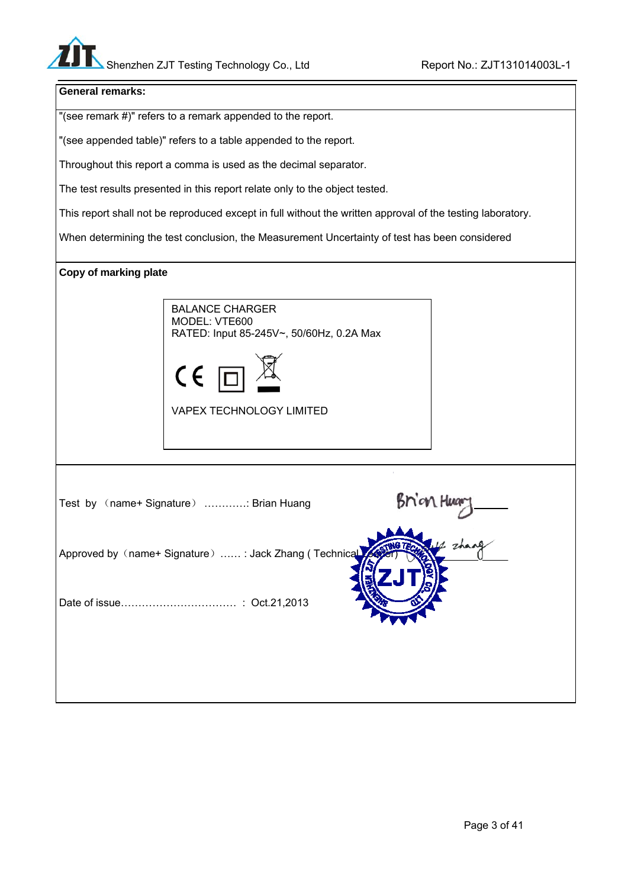### **General remarks:**

"(see remark #)" refers to a remark appended to the report.

"(see appended table)" refers to a table appended to the report.

Throughout this report a comma is used as the decimal separator.

The test results presented in this report relate only to the object tested.

This report shall not be reproduced except in full without the written approval of the testing laboratory.

When determining the test conclusion, the Measurement Uncertainty of test has been considered

### **Copy of marking plate**





VAPEX TECHNOLOGY LIMITED

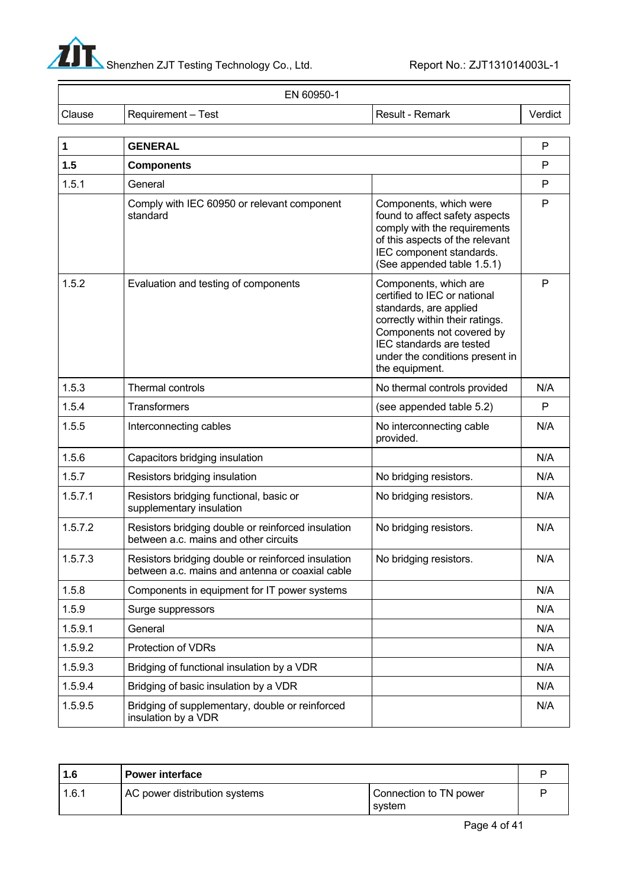

|        | EN 60950-1           |                   |         |
|--------|----------------------|-------------------|---------|
| Clause | ! Requirement – Test | l Result - Remark | Verdict |

| 1       | <b>GENERAL</b>                                                                                        |                                                                                                                                                                                                                                  | P   |
|---------|-------------------------------------------------------------------------------------------------------|----------------------------------------------------------------------------------------------------------------------------------------------------------------------------------------------------------------------------------|-----|
| 1.5     | <b>Components</b>                                                                                     |                                                                                                                                                                                                                                  | P   |
| 1.5.1   | General                                                                                               |                                                                                                                                                                                                                                  | P   |
|         | Comply with IEC 60950 or relevant component<br>standard                                               | Components, which were<br>found to affect safety aspects<br>comply with the requirements<br>of this aspects of the relevant<br>IEC component standards.<br>(See appended table 1.5.1)                                            | P   |
| 1.5.2   | Evaluation and testing of components                                                                  | Components, which are<br>certified to IEC or national<br>standards, are applied<br>correctly within their ratings.<br>Components not covered by<br>IEC standards are tested<br>under the conditions present in<br>the equipment. | P   |
| 1.5.3   | Thermal controls                                                                                      | No thermal controls provided                                                                                                                                                                                                     | N/A |
| 1.5.4   | <b>Transformers</b>                                                                                   | (see appended table 5.2)                                                                                                                                                                                                         | P   |
| 1.5.5   | Interconnecting cables                                                                                | No interconnecting cable<br>provided.                                                                                                                                                                                            | N/A |
| 1.5.6   | Capacitors bridging insulation                                                                        |                                                                                                                                                                                                                                  | N/A |
| 1.5.7   | Resistors bridging insulation                                                                         | No bridging resistors.                                                                                                                                                                                                           | N/A |
| 1.5.7.1 | Resistors bridging functional, basic or<br>supplementary insulation                                   | No bridging resistors.                                                                                                                                                                                                           | N/A |
| 1.5.7.2 | Resistors bridging double or reinforced insulation<br>between a.c. mains and other circuits           | No bridging resistors.                                                                                                                                                                                                           | N/A |
| 1.5.7.3 | Resistors bridging double or reinforced insulation<br>between a.c. mains and antenna or coaxial cable | No bridging resistors.                                                                                                                                                                                                           | N/A |
| 1.5.8   | Components in equipment for IT power systems                                                          |                                                                                                                                                                                                                                  | N/A |
| 1.5.9   | Surge suppressors                                                                                     |                                                                                                                                                                                                                                  | N/A |
| 1.5.9.1 | General                                                                                               |                                                                                                                                                                                                                                  | N/A |
| 1.5.9.2 | Protection of VDRs                                                                                    |                                                                                                                                                                                                                                  | N/A |
| 1.5.9.3 | Bridging of functional insulation by a VDR                                                            |                                                                                                                                                                                                                                  | N/A |
| 1.5.9.4 | Bridging of basic insulation by a VDR                                                                 |                                                                                                                                                                                                                                  | N/A |
| 1.5.9.5 | Bridging of supplementary, double or reinforced<br>insulation by a VDR                                |                                                                                                                                                                                                                                  | N/A |

| 1.6   | <b>Power interface</b>        |                                  |  |
|-------|-------------------------------|----------------------------------|--|
| 1.6.1 | AC power distribution systems | Connection to TN power<br>svstem |  |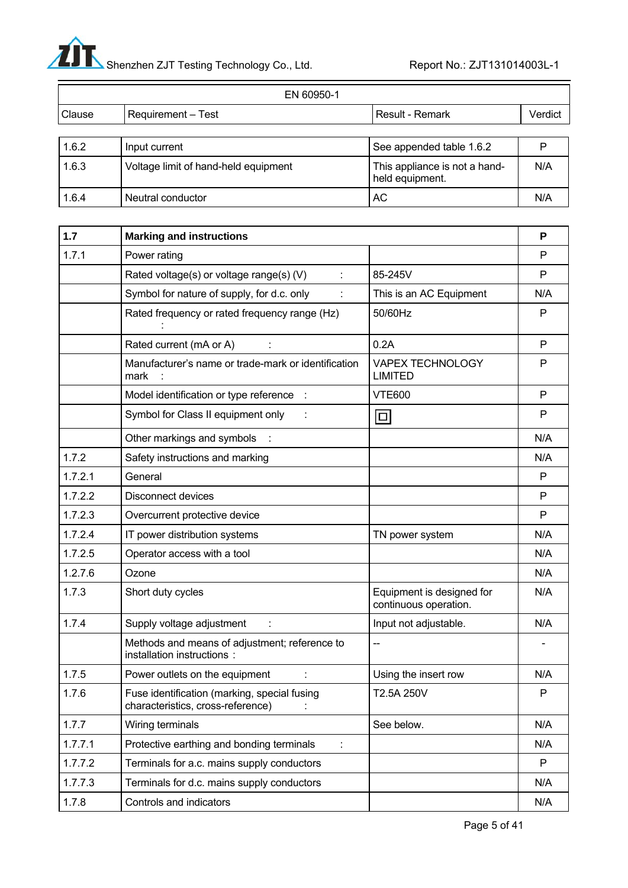

 $\equiv$ 

|        | EN 60950-1                           |                                                  |         |
|--------|--------------------------------------|--------------------------------------------------|---------|
| Clause | <b>Requirement – Test</b>            | Result - Remark                                  | Verdict |
|        |                                      |                                                  |         |
| 1.6.2  | Input current                        | See appended table 1.6.2                         |         |
| 1.6.3  | Voltage limit of hand-held equipment | This appliance is not a hand-<br>held equipment. | N/A     |
| 1.6.4  | Neutral conductor                    | АC                                               | N/A     |

| 1.7     | <b>Marking and instructions</b>                                                   |                                                    | P   |
|---------|-----------------------------------------------------------------------------------|----------------------------------------------------|-----|
| 1.7.1   | Power rating                                                                      |                                                    | P   |
|         | Rated voltage(s) or voltage range(s) (V)                                          | 85-245V                                            | P   |
|         | Symbol for nature of supply, for d.c. only                                        | This is an AC Equipment                            | N/A |
|         | Rated frequency or rated frequency range (Hz)                                     | 50/60Hz                                            | P   |
|         | Rated current (mA or A)                                                           | 0.2A                                               | P   |
|         | Manufacturer's name or trade-mark or identification<br>mark                       | <b>VAPEX TECHNOLOGY</b><br><b>LIMITED</b>          | P   |
|         | Model identification or type reference :                                          | <b>VTE600</b>                                      | P   |
|         | Symbol for Class II equipment only                                                | $\Box$                                             | P   |
|         | Other markings and symbols                                                        |                                                    | N/A |
| 1.7.2   | Safety instructions and marking                                                   |                                                    | N/A |
| 1.7.2.1 | General                                                                           |                                                    | P   |
| 1.7.2.2 | <b>Disconnect devices</b>                                                         |                                                    | P   |
| 1.7.2.3 | Overcurrent protective device                                                     |                                                    | P   |
| 1.7.2.4 | IT power distribution systems                                                     | TN power system                                    | N/A |
| 1.7.2.5 | Operator access with a tool                                                       |                                                    | N/A |
| 1.2.7.6 | Ozone                                                                             |                                                    | N/A |
| 1.7.3   | Short duty cycles                                                                 | Equipment is designed for<br>continuous operation. | N/A |
| 1.7.4   | Supply voltage adjustment                                                         | Input not adjustable.                              | N/A |
|         | Methods and means of adjustment; reference to<br>installation instructions :      | --                                                 |     |
| 1.7.5   | Power outlets on the equipment                                                    | Using the insert row                               | N/A |
| 1.7.6   | Fuse identification (marking, special fusing<br>characteristics, cross-reference) | T2.5A 250V                                         | P   |
| 1.7.7   | Wiring terminals                                                                  | See below.                                         | N/A |
| 1.7.7.1 | Protective earthing and bonding terminals                                         |                                                    | N/A |
| 1.7.7.2 | Terminals for a.c. mains supply conductors                                        |                                                    | P   |
| 1.7.7.3 | Terminals for d.c. mains supply conductors                                        |                                                    | N/A |
| 1.7.8   | Controls and indicators                                                           |                                                    | N/A |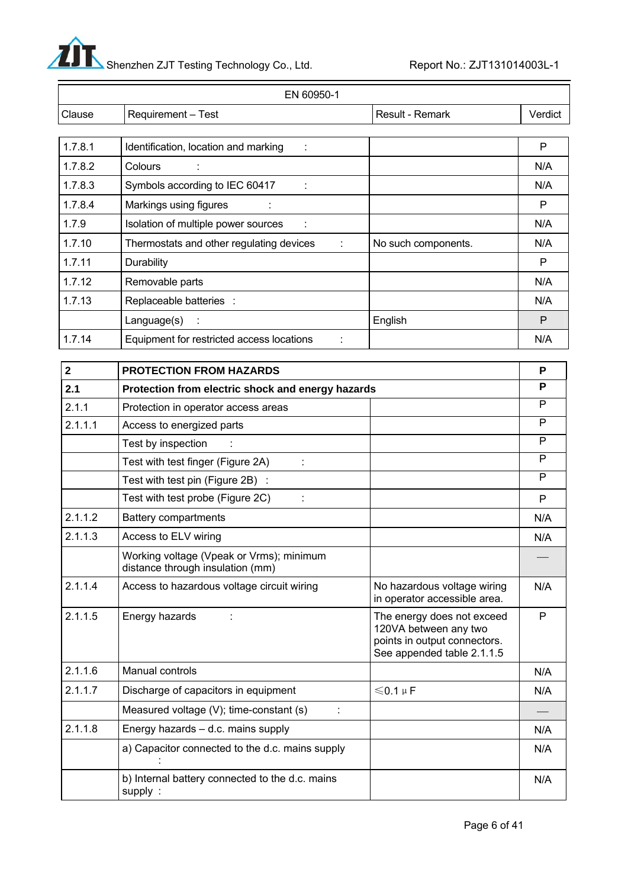

| EN 60950-1  |                                                                              |                                                                                                                   |              |
|-------------|------------------------------------------------------------------------------|-------------------------------------------------------------------------------------------------------------------|--------------|
| Clause      | Requirement - Test                                                           | Result - Remark                                                                                                   | Verdict      |
|             |                                                                              |                                                                                                                   |              |
| 1.7.8.1     | Identification, location and marking                                         |                                                                                                                   | P            |
| 1.7.8.2     | Colours                                                                      |                                                                                                                   | N/A          |
| 1.7.8.3     | Symbols according to IEC 60417                                               |                                                                                                                   | N/A          |
| 1.7.8.4     | Markings using figures                                                       |                                                                                                                   | P            |
| 1.7.9       | Isolation of multiple power sources                                          |                                                                                                                   | N/A          |
| 1.7.10      | Thermostats and other regulating devices                                     | No such components.                                                                                               | N/A          |
| 1.7.11      | Durability                                                                   |                                                                                                                   | P            |
| 1.7.12      | Removable parts                                                              |                                                                                                                   | N/A          |
| 1.7.13      | Replaceable batteries :                                                      |                                                                                                                   | N/A          |
|             | Language(s)                                                                  | English                                                                                                           | P            |
| 1.7.14      | Equipment for restricted access locations                                    |                                                                                                                   | N/A          |
|             |                                                                              |                                                                                                                   |              |
| $\mathbf 2$ | PROTECTION FROM HAZARDS                                                      |                                                                                                                   | P            |
| 2.1         | Protection from electric shock and energy hazards                            |                                                                                                                   | P            |
| 2.1.1       | Protection in operator access areas                                          |                                                                                                                   | P            |
| 2.1.1.1     | Access to energized parts                                                    |                                                                                                                   | P            |
|             | Test by inspection                                                           |                                                                                                                   | P            |
|             | Test with test finger (Figure 2A)                                            |                                                                                                                   | P<br>P       |
|             | Test with test pin (Figure 2B) :                                             |                                                                                                                   |              |
|             | Test with test probe (Figure 2C)                                             |                                                                                                                   | P            |
| 2.1.1.2     | <b>Battery compartments</b>                                                  |                                                                                                                   | N/A          |
| 2.1.1.3     | Access to ELV wiring                                                         |                                                                                                                   | N/A          |
|             | Working voltage (Vpeak or Vrms); minimum<br>distance through insulation (mm) |                                                                                                                   |              |
| 2.1.1.4     | Access to hazardous voltage circuit wiring                                   | No hazardous voltage wiring<br>in operator accessible area.                                                       | N/A          |
| 2.1.1.5     | Energy hazards                                                               | The energy does not exceed<br>120VA between any two<br>points in output connectors.<br>See appended table 2.1.1.5 | $\mathsf{P}$ |
| 2.1.1.6     | Manual controls                                                              |                                                                                                                   | N/A          |
| 2.1.1.7     | Discharge of capacitors in equipment                                         | $\leqslant$ 0.1 µF                                                                                                | N/A          |
|             | Measured voltage (V); time-constant (s)                                      |                                                                                                                   |              |
| 2.1.1.8     | Energy hazards - d.c. mains supply                                           |                                                                                                                   | N/A          |
|             | a) Capacitor connected to the d.c. mains supply                              |                                                                                                                   | N/A          |
|             | b) Internal battery connected to the d.c. mains<br>supply:                   |                                                                                                                   | N/A          |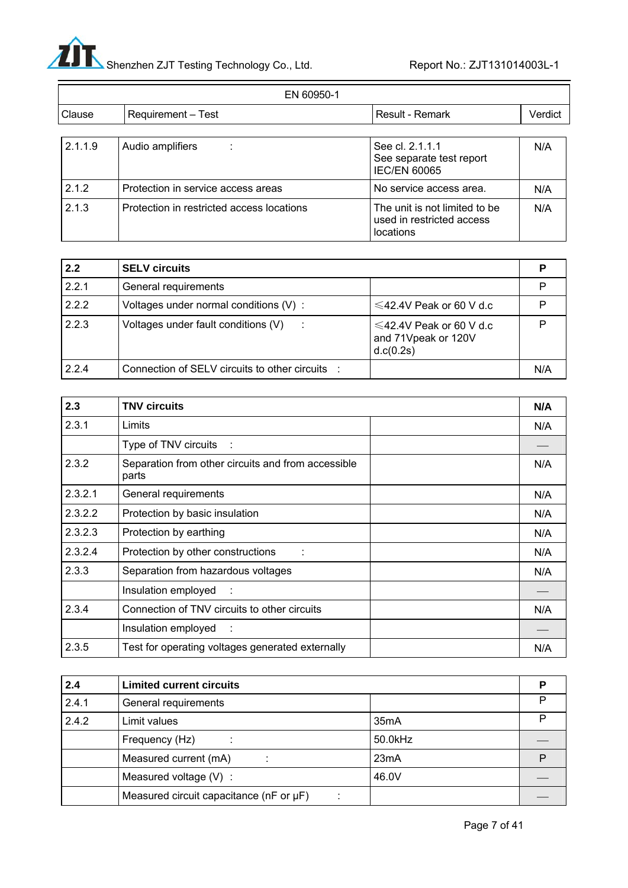

|         | EN 60950-1                                |                                                                         |         |
|---------|-------------------------------------------|-------------------------------------------------------------------------|---------|
| Clause  | Requirement - Test                        | Result - Remark                                                         | Verdict |
| 2.1.1.9 | Audio amplifiers<br>÷                     | See cl. 2.1.1.1<br>See separate test report<br><b>IEC/EN 60065</b>      | N/A     |
| 2.1.2   | Protection in service access areas        | No service access area.                                                 | N/A     |
| 2.1.3   | Protection in restricted access locations | The unit is not limited to be<br>used in restricted access<br>locations | N/A     |

| 2.2   | <b>SELV circuits</b>                             |                                                                   |     |
|-------|--------------------------------------------------|-------------------------------------------------------------------|-----|
| 2.2.1 | General requirements                             |                                                                   |     |
| 2.2.2 | Voltages under normal conditions (V):            | $\leq$ 42.4V Peak or 60 V d.c                                     |     |
| 2.2.3 | Voltages under fault conditions (V)<br>$\sim$ 1. | $\leq$ 42.4V Peak or 60 V d.c<br>and 71Vpeak or 120V<br>d.c(0.2s) | רו  |
| 2.2.4 | Connection of SELV circuits to other circuits :  |                                                                   | N/A |

| 2.3     | <b>TNV circuits</b>                                         |     |
|---------|-------------------------------------------------------------|-----|
| 2.3.1   | Limits                                                      | N/A |
|         | Type of TNV circuits :                                      |     |
| 2.3.2   | Separation from other circuits and from accessible<br>parts | N/A |
| 2.3.2.1 | General requirements                                        | N/A |
| 2.3.2.2 | Protection by basic insulation                              | N/A |
| 2.3.2.3 | Protection by earthing                                      | N/A |
| 2.3.2.4 | Protection by other constructions                           | N/A |
| 2.3.3   | Separation from hazardous voltages                          | N/A |
|         | Insulation employed :                                       |     |
| 2.3.4   | Connection of TNV circuits to other circuits                | N/A |
|         | Insulation employed<br>$\sim 1$                             |     |
| 2.3.5   | Test for operating voltages generated externally            | N/A |

| 2.4   | <b>Limited current circuits</b>                  |                   |  |
|-------|--------------------------------------------------|-------------------|--|
| 2.4.1 | General requirements                             |                   |  |
| 2.4.2 | Limit values                                     | 35 <sub>m</sub> A |  |
|       | Frequency (Hz)                                   | 50.0kHz           |  |
|       | Measured current (mA)                            | 23mA              |  |
|       | Measured voltage (V) :                           | 46.0V             |  |
|       | Measured circuit capacitance ( $nF$ or $\mu F$ ) |                   |  |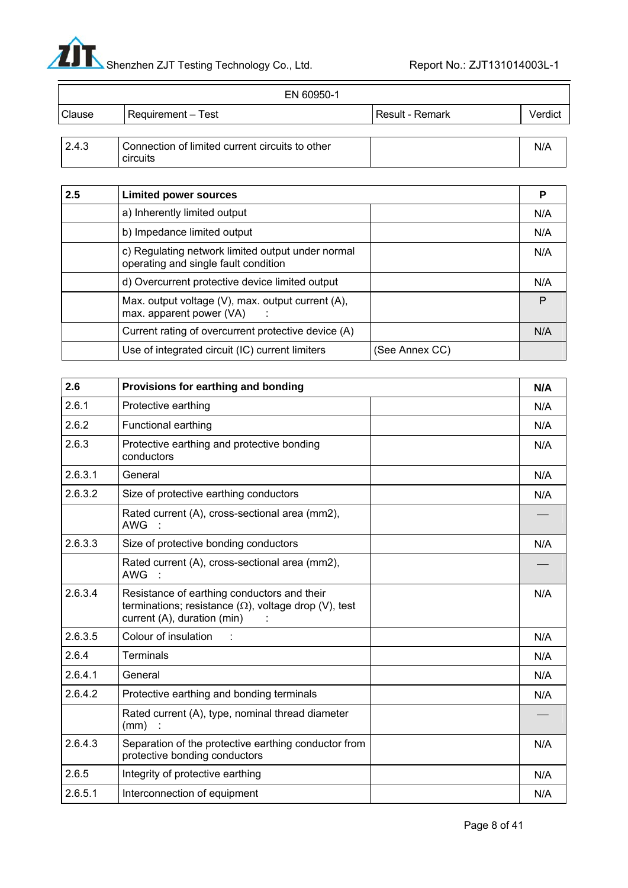

-

|        | EN 60950-1                                                  |                 |         |
|--------|-------------------------------------------------------------|-----------------|---------|
| Clause | <b>Requirement – Test</b>                                   | Result - Remark | Verdict |
| 2.4.3  | Connection of limited current circuits to other<br>circuits |                 | N/A     |

| 2.5 | <b>Limited power sources</b>                                                              |                | Р   |
|-----|-------------------------------------------------------------------------------------------|----------------|-----|
|     | a) Inherently limited output                                                              |                | N/A |
|     | b) Impedance limited output                                                               |                | N/A |
|     | c) Regulating network limited output under normal<br>operating and single fault condition |                | N/A |
|     | d) Overcurrent protective device limited output                                           |                | N/A |
|     | Max. output voltage (V), max. output current (A),<br>max. apparent power (VA)             |                | P   |
|     | Current rating of overcurrent protective device (A)                                       |                | N/A |
|     | Use of integrated circuit (IC) current limiters                                           | (See Annex CC) |     |

| 2.6     | Provisions for earthing and bonding                                                                                                        | N/A |
|---------|--------------------------------------------------------------------------------------------------------------------------------------------|-----|
| 2.6.1   | Protective earthing                                                                                                                        | N/A |
| 2.6.2   | Functional earthing                                                                                                                        | N/A |
| 2.6.3   | Protective earthing and protective bonding<br>conductors                                                                                   | N/A |
| 2.6.3.1 | General                                                                                                                                    | N/A |
| 2.6.3.2 | Size of protective earthing conductors                                                                                                     | N/A |
|         | Rated current (A), cross-sectional area (mm2),<br>AWG :                                                                                    |     |
| 2.6.3.3 | Size of protective bonding conductors                                                                                                      | N/A |
|         | Rated current (A), cross-sectional area (mm2),<br><b>AWG</b>                                                                               |     |
| 2.6.3.4 | Resistance of earthing conductors and their<br>terminations; resistance $(\Omega)$ , voltage drop (V), test<br>current (A), duration (min) | N/A |
| 2.6.3.5 | Colour of insulation                                                                                                                       | N/A |
| 2.6.4   | <b>Terminals</b>                                                                                                                           | N/A |
| 2.6.4.1 | General                                                                                                                                    | N/A |
| 2.6.4.2 | Protective earthing and bonding terminals                                                                                                  | N/A |
|         | Rated current (A), type, nominal thread diameter<br>(mm)                                                                                   |     |
| 2.6.4.3 | Separation of the protective earthing conductor from<br>protective bonding conductors                                                      | N/A |
| 2.6.5   | Integrity of protective earthing                                                                                                           | N/A |
| 2.6.5.1 | Interconnection of equipment                                                                                                               | N/A |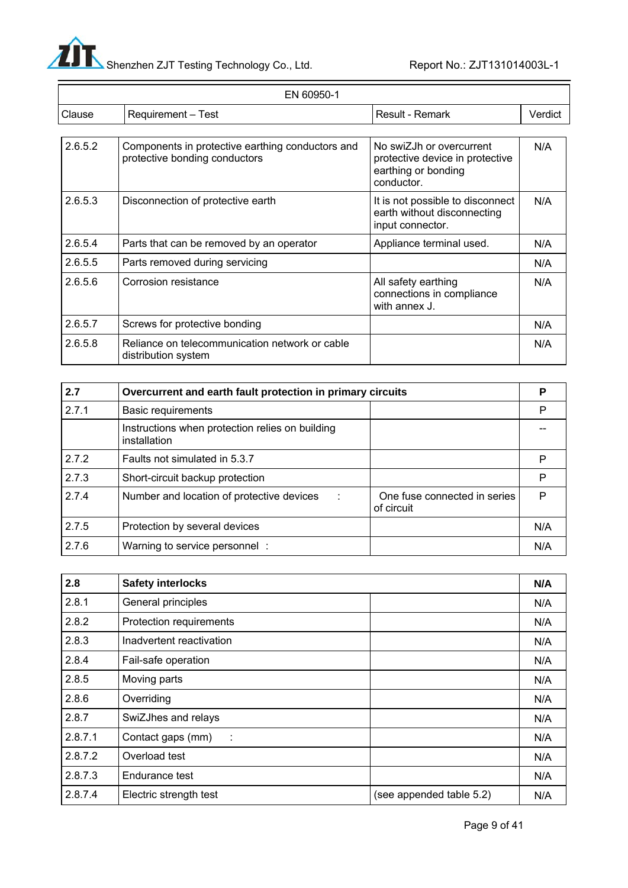

|         | EN 60950-1                                                                        |                                                                                                  |         |
|---------|-----------------------------------------------------------------------------------|--------------------------------------------------------------------------------------------------|---------|
| Clause  | Requirement - Test                                                                | Result - Remark                                                                                  | Verdict |
|         |                                                                                   |                                                                                                  |         |
| 2.6.5.2 | Components in protective earthing conductors and<br>protective bonding conductors | No swiZJh or overcurrent<br>protective device in protective<br>earthing or bonding<br>conductor. | N/A     |
| 2.6.5.3 | Disconnection of protective earth                                                 | It is not possible to disconnect<br>earth without disconnecting<br>input connector.              | N/A     |
| 2.6.5.4 | Parts that can be removed by an operator                                          | Appliance terminal used.                                                                         | N/A     |
| 2.6.5.5 | Parts removed during servicing                                                    |                                                                                                  | N/A     |
| 2.6.5.6 | Corrosion resistance                                                              | All safety earthing<br>connections in compliance<br>with annex J.                                | N/A     |
| 2.6.5.7 | Screws for protective bonding                                                     |                                                                                                  | N/A     |
| 2.6.5.8 | Reliance on telecommunication network or cable<br>distribution system             |                                                                                                  | N/A     |

| 2.7   | Overcurrent and earth fault protection in primary circuits      |                                            | Р   |
|-------|-----------------------------------------------------------------|--------------------------------------------|-----|
| 2.7.1 | <b>Basic requirements</b>                                       |                                            | P   |
|       | Instructions when protection relies on building<br>installation |                                            |     |
| 2.7.2 | Faults not simulated in 5.3.7                                   |                                            | P   |
| 2.7.3 | Short-circuit backup protection                                 |                                            | P   |
| 2.7.4 | Number and location of protective devices<br>$\sim 100$         | One fuse connected in series<br>of circuit | P   |
| 2.7.5 | Protection by several devices                                   |                                            | N/A |
| 2.7.6 | Warning to service personnel :                                  |                                            | N/A |

| 2.8     | <b>Safety interlocks</b> |                          | N/A |
|---------|--------------------------|--------------------------|-----|
| 2.8.1   | General principles       |                          | N/A |
| 2.8.2   | Protection requirements  |                          | N/A |
| 2.8.3   | Inadvertent reactivation |                          | N/A |
| 2.8.4   | Fail-safe operation      |                          | N/A |
| 2.8.5   | Moving parts             |                          | N/A |
| 2.8.6   | Overriding               |                          | N/A |
| 2.8.7   | SwiZJhes and relays      |                          | N/A |
| 2.8.7.1 | Contact gaps (mm)<br>÷   |                          | N/A |
| 2.8.7.2 | Overload test            |                          | N/A |
| 2.8.7.3 | Endurance test           |                          | N/A |
| 2.8.7.4 | Electric strength test   | (see appended table 5.2) | N/A |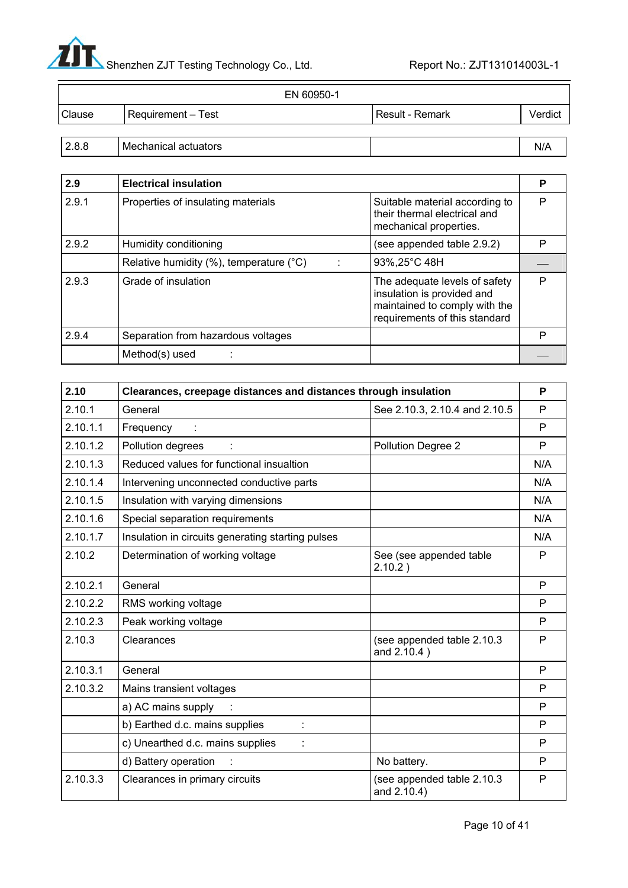

—

|        | EN 60950-1           |                        |         |
|--------|----------------------|------------------------|---------|
| Clause | Requirement - Test   | <b>Result - Remark</b> | Verdict |
|        |                      |                        |         |
| 2.8.8  | Mechanical actuators |                        | N/A     |

| 2.9   | <b>Electrical insulation</b>                        |                                                                                                                               | Р |
|-------|-----------------------------------------------------|-------------------------------------------------------------------------------------------------------------------------------|---|
| 2.9.1 | Properties of insulating materials                  | Suitable material according to<br>their thermal electrical and<br>mechanical properties.                                      | Р |
| 2.9.2 | Humidity conditioning                               | (see appended table 2.9.2)                                                                                                    | P |
|       | Relative humidity $(\%)$ , temperature $(^\circ C)$ | 93%, 25°C 48H                                                                                                                 |   |
| 2.9.3 | Grade of insulation                                 | The adequate levels of safety<br>insulation is provided and<br>maintained to comply with the<br>requirements of this standard | P |
| 2.9.4 | Separation from hazardous voltages                  |                                                                                                                               | P |
|       | Method(s) used                                      |                                                                                                                               |   |

| 2.10     | Clearances, creepage distances and distances through insulation |                                           | P   |
|----------|-----------------------------------------------------------------|-------------------------------------------|-----|
| 2.10.1   | General                                                         | See 2.10.3, 2.10.4 and 2.10.5             | P   |
| 2.10.1.1 | Frequency                                                       |                                           | P   |
| 2.10.1.2 | Pollution degrees                                               | Pollution Degree 2                        | P   |
| 2.10.1.3 | Reduced values for functional insualtion                        |                                           | N/A |
| 2.10.1.4 | Intervening unconnected conductive parts                        |                                           | N/A |
| 2.10.1.5 | Insulation with varying dimensions                              |                                           | N/A |
| 2.10.1.6 | Special separation requirements                                 |                                           | N/A |
| 2.10.1.7 | Insulation in circuits generating starting pulses               |                                           | N/A |
| 2.10.2   | Determination of working voltage                                | See (see appended table<br>2.10.2)        | P   |
| 2.10.2.1 | General                                                         |                                           | P   |
| 2.10.2.2 | RMS working voltage                                             |                                           | P   |
| 2.10.2.3 | Peak working voltage                                            |                                           | P   |
| 2.10.3   | Clearances                                                      | (see appended table 2.10.3<br>and 2.10.4) | P   |
| 2.10.3.1 | General                                                         |                                           | P   |
| 2.10.3.2 | Mains transient voltages                                        |                                           | P   |
|          | a) AC mains supply                                              |                                           | P   |
|          | b) Earthed d.c. mains supplies                                  |                                           | P   |
|          | c) Unearthed d.c. mains supplies                                |                                           | P   |
|          | d) Battery operation                                            | No battery.                               | P   |
| 2.10.3.3 | Clearances in primary circuits                                  | (see appended table 2.10.3<br>and 2.10.4) | P   |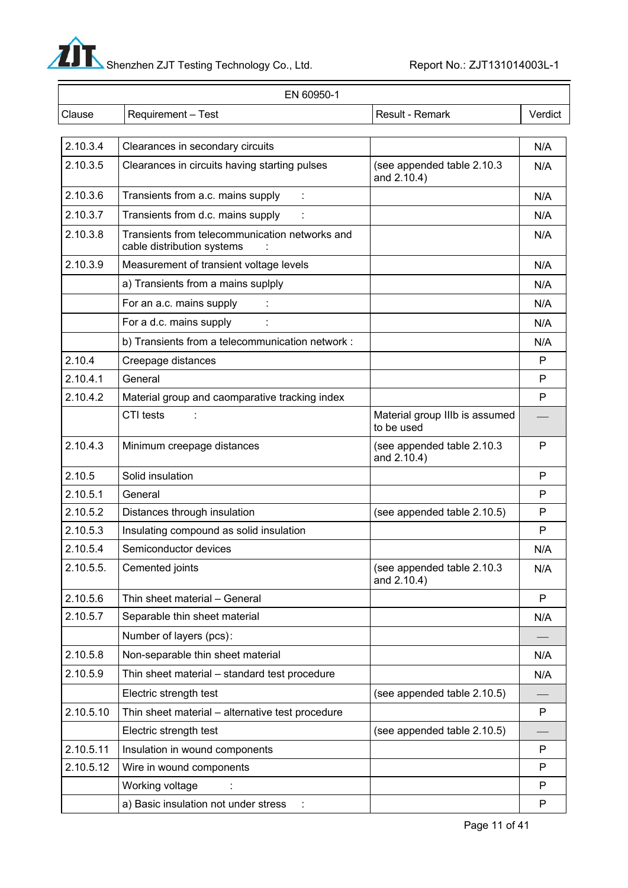

—

| EN 60950-1 |                                                                              |                                              |         |
|------------|------------------------------------------------------------------------------|----------------------------------------------|---------|
| Clause     | Requirement - Test                                                           | Result - Remark                              | Verdict |
| 2.10.3.4   | Clearances in secondary circuits                                             |                                              | N/A     |
| 2.10.3.5   | Clearances in circuits having starting pulses                                | (see appended table 2.10.3<br>and 2.10.4)    | N/A     |
| 2.10.3.6   | Transients from a.c. mains supply                                            |                                              | N/A     |
| 2.10.3.7   | Transients from d.c. mains supply                                            |                                              | N/A     |
| 2.10.3.8   | Transients from telecommunication networks and<br>cable distribution systems |                                              | N/A     |
| 2.10.3.9   | Measurement of transient voltage levels                                      |                                              | N/A     |
|            | a) Transients from a mains suplply                                           |                                              | N/A     |
|            | For an a.c. mains supply                                                     |                                              | N/A     |
|            | For a d.c. mains supply                                                      |                                              | N/A     |
|            | b) Transients from a telecommunication network :                             |                                              | N/A     |
| 2.10.4     | Creepage distances                                                           |                                              | P       |
| 2.10.4.1   | General                                                                      |                                              | P       |
| 2.10.4.2   | Material group and caomparative tracking index                               |                                              | P       |
|            | CTI tests                                                                    | Material group IIIb is assumed<br>to be used |         |
| 2.10.4.3   | Minimum creepage distances                                                   | (see appended table 2.10.3<br>and 2.10.4)    | P       |
| 2.10.5     | Solid insulation                                                             |                                              | P       |
| 2.10.5.1   | General                                                                      |                                              | P       |
| 2.10.5.2   | Distances through insulation                                                 | (see appended table 2.10.5)                  | P       |
| 2.10.5.3   | Insulating compound as solid insulation                                      |                                              | P       |
| 2.10.5.4   | Semiconductor devices                                                        |                                              | N/A     |
| 2.10.5.5.  | Cemented joints                                                              | (see appended table 2.10.3)<br>and 2.10.4)   | N/A     |
| 2.10.5.6   | Thin sheet material - General                                                |                                              | P       |
| 2.10.5.7   | Separable thin sheet material                                                |                                              | N/A     |
|            | Number of layers (pcs):                                                      |                                              |         |
| 2.10.5.8   | Non-separable thin sheet material                                            |                                              | N/A     |
| 2.10.5.9   | Thin sheet material - standard test procedure                                |                                              | N/A     |
|            | Electric strength test                                                       | (see appended table 2.10.5)                  |         |
| 2.10.5.10  | Thin sheet material - alternative test procedure                             |                                              | P       |
|            | Electric strength test                                                       | (see appended table 2.10.5)                  |         |
| 2.10.5.11  | Insulation in wound components                                               |                                              | P       |
| 2.10.5.12  | Wire in wound components                                                     |                                              | P       |
|            | Working voltage                                                              |                                              | P       |
|            | a) Basic insulation not under stress<br>÷                                    |                                              | P       |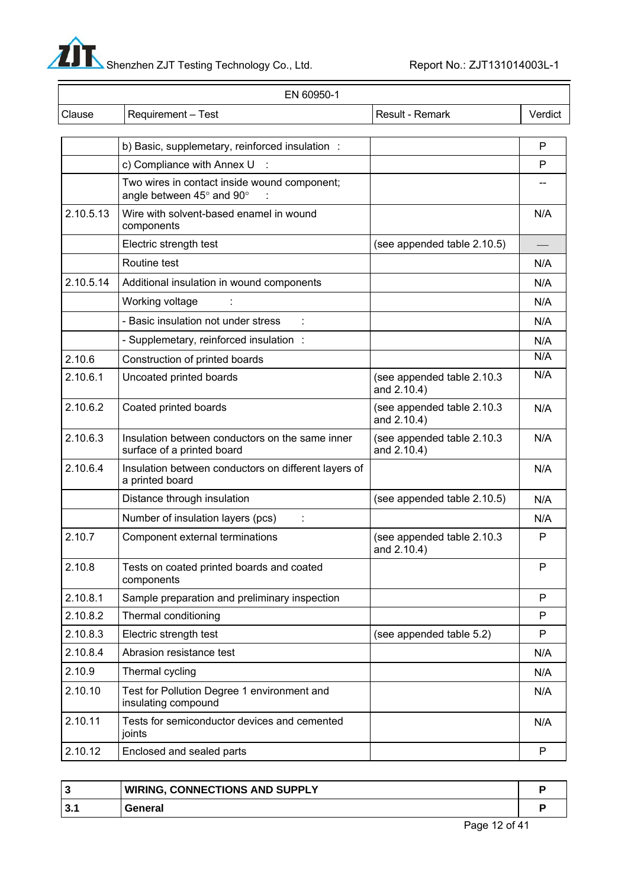▲<br>Shenzhen ZJT Testing Technology Co., Ltd. Report No.: ZJT131014003L-1

 $\equiv$ 

| EN 60950-1 |                                                                               |                                           |         |
|------------|-------------------------------------------------------------------------------|-------------------------------------------|---------|
| Clause     | Requirement - Test                                                            | Result - Remark                           | Verdict |
|            |                                                                               |                                           |         |
|            | b) Basic, supplemetary, reinforced insulation :                               |                                           | P<br>P  |
|            | c) Compliance with Annex U                                                    |                                           |         |
|            | Two wires in contact inside wound component;<br>angle between 45° and 90°     |                                           |         |
| 2.10.5.13  | Wire with solvent-based enamel in wound<br>components                         |                                           | N/A     |
|            | Electric strength test                                                        | (see appended table 2.10.5)               |         |
|            | Routine test                                                                  |                                           | N/A     |
| 2.10.5.14  | Additional insulation in wound components                                     |                                           | N/A     |
|            | Working voltage                                                               |                                           | N/A     |
|            | - Basic insulation not under stress                                           |                                           | N/A     |
|            | - Supplemetary, reinforced insulation :                                       |                                           | N/A     |
| 2.10.6     | Construction of printed boards                                                |                                           | N/A     |
| 2.10.6.1   | Uncoated printed boards                                                       | (see appended table 2.10.3<br>and 2.10.4) | N/A     |
| 2.10.6.2   | Coated printed boards                                                         | (see appended table 2.10.3<br>and 2.10.4) | N/A     |
| 2.10.6.3   | Insulation between conductors on the same inner<br>surface of a printed board | (see appended table 2.10.3<br>and 2.10.4) | N/A     |
| 2.10.6.4   | Insulation between conductors on different layers of<br>a printed board       |                                           | N/A     |
|            | Distance through insulation                                                   | (see appended table 2.10.5)               | N/A     |
|            | Number of insulation layers (pcs)<br>÷                                        |                                           | N/A     |
| 2.10.7     | Component external terminations                                               | (see appended table 2.10.3<br>and 2.10.4) | P       |
| 2.10.8     | Tests on coated printed boards and coated<br>components                       |                                           | P       |
| 2.10.8.1   | Sample preparation and preliminary inspection                                 |                                           | P       |
| 2.10.8.2   | Thermal conditioning                                                          |                                           | P       |
| 2.10.8.3   | Electric strength test                                                        | (see appended table 5.2)                  | P       |
| 2.10.8.4   | Abrasion resistance test                                                      |                                           | N/A     |
| 2.10.9     | Thermal cycling                                                               |                                           | N/A     |
| 2.10.10    | Test for Pollution Degree 1 environment and<br>insulating compound            |                                           | N/A     |
| 2.10.11    | Tests for semiconductor devices and cemented<br>joints                        |                                           | N/A     |
| 2.10.12    | Enclosed and sealed parts                                                     |                                           | P       |

|     | <b>WIRING, CONNECTIONS AND SUPPLY</b> |  |
|-----|---------------------------------------|--|
| ູບ. | General                               |  |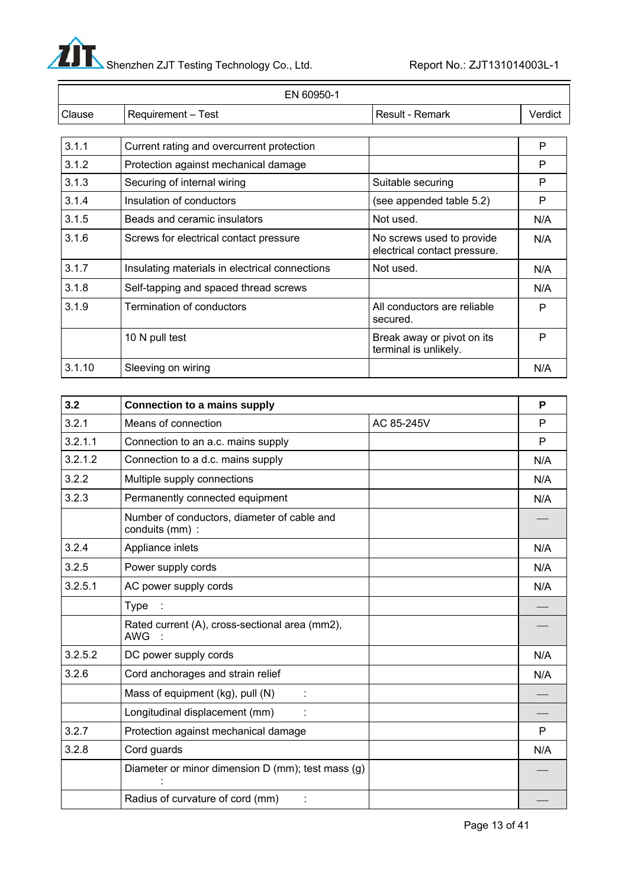$\mathbf{I}$ Shenzhen ZJT Testing Technology Co., Ltd. Report No.: ZJT131014003L-1

|        | EN 60950-1                                     |                                                           |         |  |  |
|--------|------------------------------------------------|-----------------------------------------------------------|---------|--|--|
| Clause | Requirement - Test                             | Result - Remark                                           | Verdict |  |  |
|        |                                                |                                                           |         |  |  |
| 3.1.1  | Current rating and overcurrent protection      |                                                           | P       |  |  |
| 3.1.2  | Protection against mechanical damage           |                                                           | P       |  |  |
| 3.1.3  | Securing of internal wiring                    | Suitable securing                                         | P       |  |  |
| 3.1.4  | Insulation of conductors                       | (see appended table 5.2)                                  | P       |  |  |
| 3.1.5  | Beads and ceramic insulators                   | Not used.                                                 | N/A     |  |  |
| 3.1.6  | Screws for electrical contact pressure         | No screws used to provide<br>electrical contact pressure. | N/A     |  |  |
| 3.1.7  | Insulating materials in electrical connections | Not used.                                                 | N/A     |  |  |
| 3.1.8  | Self-tapping and spaced thread screws          |                                                           | N/A     |  |  |
| 3.1.9  | Termination of conductors                      | All conductors are reliable<br>secured.                   | P       |  |  |
|        | 10 N pull test                                 | Break away or pivot on its<br>terminal is unlikely.       | P       |  |  |
| 3.1.10 | Sleeving on wiring                             |                                                           | N/A     |  |  |

| 3.2     | <b>Connection to a mains supply</b>                            |            | P   |
|---------|----------------------------------------------------------------|------------|-----|
| 3.2.1   | Means of connection                                            | AC 85-245V | P   |
| 3.2.1.1 | Connection to an a.c. mains supply                             |            | P   |
| 3.2.1.2 | Connection to a d.c. mains supply                              |            | N/A |
| 3.2.2   | Multiple supply connections                                    |            | N/A |
| 3.2.3   | Permanently connected equipment                                |            | N/A |
|         | Number of conductors, diameter of cable and<br>conduits (mm) : |            |     |
| 3.2.4   | Appliance inlets                                               |            | N/A |
| 3.2.5   | Power supply cords                                             |            | N/A |
| 3.2.5.1 | AC power supply cords                                          |            | N/A |
|         | Type                                                           |            |     |
|         | Rated current (A), cross-sectional area (mm2),<br>AWG :        |            |     |
| 3.2.5.2 | DC power supply cords                                          |            | N/A |
| 3.2.6   | Cord anchorages and strain relief                              |            | N/A |
|         | Mass of equipment (kg), pull (N)                               |            |     |
|         | Longitudinal displacement (mm)                                 |            |     |
| 3.2.7   | Protection against mechanical damage                           |            | P   |
| 3.2.8   | Cord guards                                                    |            | N/A |
|         | Diameter or minor dimension D (mm); test mass (g)              |            |     |
|         | Radius of curvature of cord (mm)                               |            |     |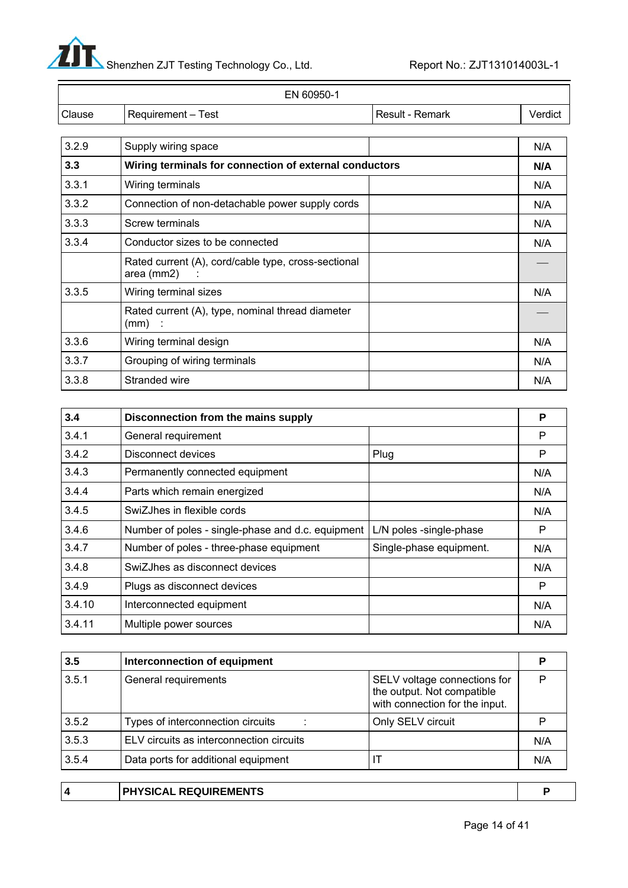

|        | EN 60950-1         |                 |         |
|--------|--------------------|-----------------|---------|
| Clause | Requirement - Test | Result - Remark | Verdict |
|        |                    |                 |         |

| 3.2.9 | Supply wiring space                                                    | N/A |
|-------|------------------------------------------------------------------------|-----|
| 3.3   | Wiring terminals for connection of external conductors                 |     |
| 3.3.1 | Wiring terminals                                                       | N/A |
| 3.3.2 | Connection of non-detachable power supply cords                        | N/A |
| 3.3.3 | Screw terminals                                                        | N/A |
| 3.3.4 | Conductor sizes to be connected                                        | N/A |
|       | Rated current (A), cord/cable type, cross-sectional<br>area (mm2)<br>÷ |     |
| 3.3.5 | Wiring terminal sizes                                                  | N/A |
|       | Rated current (A), type, nominal thread diameter<br>$(mm)$ :           |     |
| 3.3.6 | Wiring terminal design                                                 | N/A |
| 3.3.7 | Grouping of wiring terminals                                           | N/A |
| 3.3.8 | Stranded wire                                                          | N/A |

| 3.4    | Disconnection from the mains supply               |                         | P   |
|--------|---------------------------------------------------|-------------------------|-----|
| 3.4.1  | General requirement                               |                         | P   |
| 3.4.2  | Disconnect devices                                | Plug                    | P   |
| 3.4.3  | Permanently connected equipment                   |                         | N/A |
| 3.4.4  | Parts which remain energized                      |                         | N/A |
| 3.4.5  | SwiZJhes in flexible cords                        |                         | N/A |
| 3.4.6  | Number of poles - single-phase and d.c. equipment | L/N poles -single-phase | P   |
| 3.4.7  | Number of poles - three-phase equipment           | Single-phase equipment. | N/A |
| 3.4.8  | SwiZJhes as disconnect devices                    |                         | N/A |
| 3.4.9  | Plugs as disconnect devices                       |                         | P   |
| 3.4.10 | Interconnected equipment                          |                         | N/A |
| 3.4.11 | Multiple power sources                            |                         | N/A |

| 3.5   | Interconnection of equipment             |                                                                                              |     |
|-------|------------------------------------------|----------------------------------------------------------------------------------------------|-----|
| 3.5.1 | General requirements                     | SELV voltage connections for<br>the output. Not compatible<br>with connection for the input. |     |
| 3.5.2 | Types of interconnection circuits        | Only SELV circuit                                                                            |     |
| 3.5.3 | ELV circuits as interconnection circuits |                                                                                              | N/A |
| 3.5.4 | Data ports for additional equipment      |                                                                                              | N/A |
|       |                                          |                                                                                              |     |

|  | <b>PHYSICAL REQUIREMENTS</b> |  |
|--|------------------------------|--|
|  |                              |  |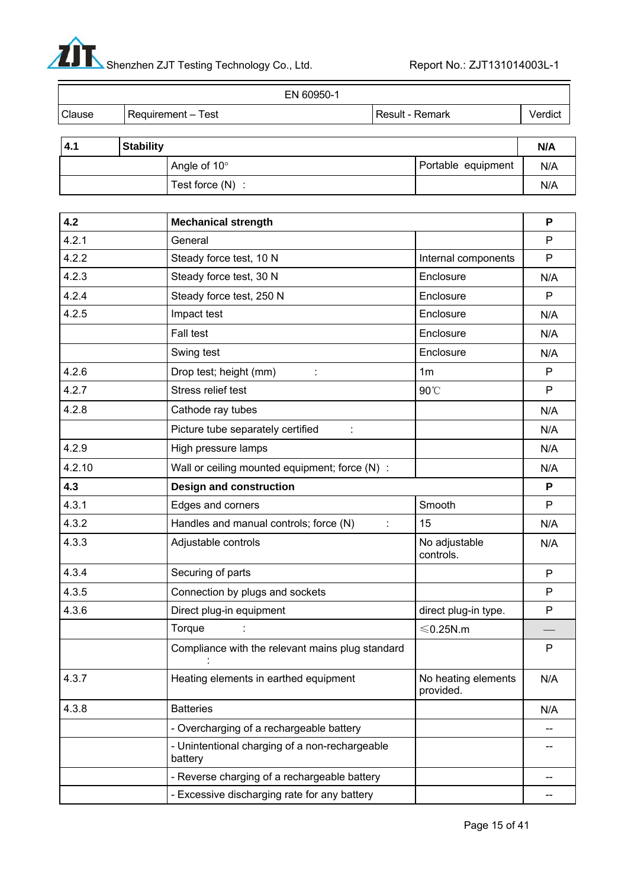

|        |                    | EN 60950-1 |                   |         |
|--------|--------------------|------------|-------------------|---------|
| Clause | Requirement - Test |            | l Result - Remark | Verdict |

| <b>Stability</b><br>$-4.1$ |  | N/A                   |                    |     |
|----------------------------|--|-----------------------|--------------------|-----|
|                            |  | Angle of $10^{\circ}$ | Portable equipment | N/A |
|                            |  | Test force $(N)$ :    |                    | N/A |

| 4.2    | <b>Mechanical strength</b>                                |                                  | P   |
|--------|-----------------------------------------------------------|----------------------------------|-----|
| 4.2.1  | General                                                   |                                  | P   |
| 4.2.2  | Steady force test, 10 N                                   | Internal components              | P   |
| 4.2.3  | Steady force test, 30 N                                   | Enclosure                        | N/A |
| 4.2.4  | Steady force test, 250 N                                  | Enclosure                        | P   |
| 4.2.5  | Impact test                                               | Enclosure                        | N/A |
|        | <b>Fall test</b>                                          | Enclosure                        | N/A |
|        | Swing test                                                | Enclosure                        | N/A |
| 4.2.6  | Drop test; height (mm)                                    | 1m                               | P   |
| 4.2.7  | Stress relief test                                        | 90°C                             | P   |
| 4.2.8  | Cathode ray tubes                                         |                                  | N/A |
|        | Picture tube separately certified<br>÷                    |                                  | N/A |
| 4.2.9  | High pressure lamps                                       |                                  | N/A |
| 4.2.10 | Wall or ceiling mounted equipment; force (N) :            |                                  | N/A |
| 4.3    | <b>Design and construction</b>                            |                                  | P   |
| 4.3.1  | Edges and corners                                         | Smooth                           | P   |
| 4.3.2  | Handles and manual controls; force (N)                    | 15                               | N/A |
| 4.3.3  | Adjustable controls                                       | No adjustable<br>controls.       | N/A |
| 4.3.4  | Securing of parts                                         |                                  | P   |
| 4.3.5  | Connection by plugs and sockets                           |                                  | P   |
| 4.3.6  | Direct plug-in equipment                                  | direct plug-in type.             | P   |
|        | Torque                                                    | $≤$ 0.25N.m                      |     |
|        | Compliance with the relevant mains plug standard          |                                  | P   |
| 4.3.7  | Heating elements in earthed equipment                     | No heating elements<br>provided. | N/A |
| 4.3.8  | <b>Batteries</b>                                          |                                  | N/A |
|        | - Overcharging of a rechargeable battery                  |                                  |     |
|        | - Unintentional charging of a non-rechargeable<br>battery |                                  |     |
|        | - Reverse charging of a rechargeable battery              |                                  |     |
|        | - Excessive discharging rate for any battery              |                                  |     |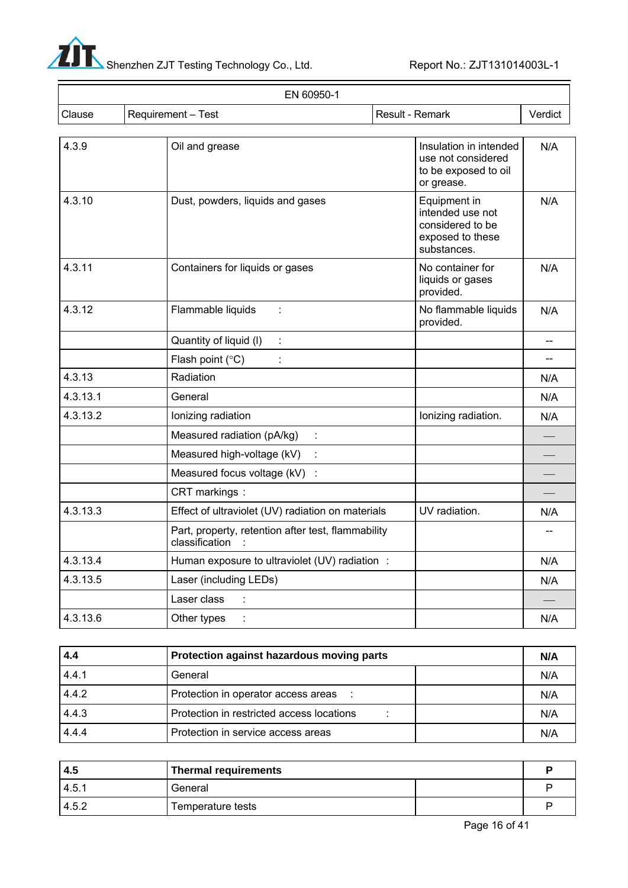

| EN 60950-1                   |                                                                      |                                                                                         |         |
|------------------------------|----------------------------------------------------------------------|-----------------------------------------------------------------------------------------|---------|
| Requirement - Test<br>Clause |                                                                      | Result - Remark                                                                         | Verdict |
| 4.3.9                        | Oil and grease                                                       | Insulation in intended<br>use not considered<br>to be exposed to oil<br>or grease.      | N/A     |
| 4.3.10                       | Dust, powders, liquids and gases                                     | Equipment in<br>intended use not<br>considered to be<br>exposed to these<br>substances. | N/A     |
| 4.3.11                       | Containers for liquids or gases                                      | No container for<br>liquids or gases<br>provided.                                       | N/A     |
| 4.3.12                       | Flammable liquids<br>÷                                               | No flammable liquids<br>provided.                                                       | N/A     |
|                              | Quantity of liquid (I)<br>÷                                          |                                                                                         |         |
|                              | Flash point $(^{\circ}C)$                                            |                                                                                         | --      |
| 4.3.13                       | Radiation                                                            |                                                                                         | N/A     |
| 4.3.13.1                     | General                                                              |                                                                                         | N/A     |
| 4.3.13.2                     | Ionizing radiation                                                   | Ionizing radiation.                                                                     | N/A     |
|                              | Measured radiation (pA/kg)<br>t                                      |                                                                                         |         |
|                              | Measured high-voltage (kV)<br>÷                                      |                                                                                         |         |
|                              | Measured focus voltage (kV) :                                        |                                                                                         |         |
|                              | CRT markings:                                                        |                                                                                         |         |
| 4.3.13.3                     | Effect of ultraviolet (UV) radiation on materials                    | UV radiation.                                                                           | N/A     |
|                              | Part, property, retention after test, flammability<br>classification |                                                                                         |         |
| 4.3.13.4                     | Human exposure to ultraviolet (UV) radiation :                       |                                                                                         | N/A     |
| 4.3.13.5                     | Laser (including LEDs)                                               |                                                                                         | N/A     |
|                              | Laser class                                                          |                                                                                         |         |
| 4.3.13.6                     | Other types                                                          |                                                                                         | N/A     |

| 4.4   | Protection against hazardous moving parts |  | N/A |
|-------|-------------------------------------------|--|-----|
| 4.4.1 | General                                   |  | N/A |
| 4.4.2 | Protection in operator access areas :     |  | N/A |
| 4.4.3 | Protection in restricted access locations |  | N/A |
| 4.4.4 | Protection in service access areas        |  | N/A |

| -4.5  | <b>Thermal requirements</b> |  |  |
|-------|-----------------------------|--|--|
| 4.5.7 | General                     |  |  |
| 4.5.2 | Temperature tests           |  |  |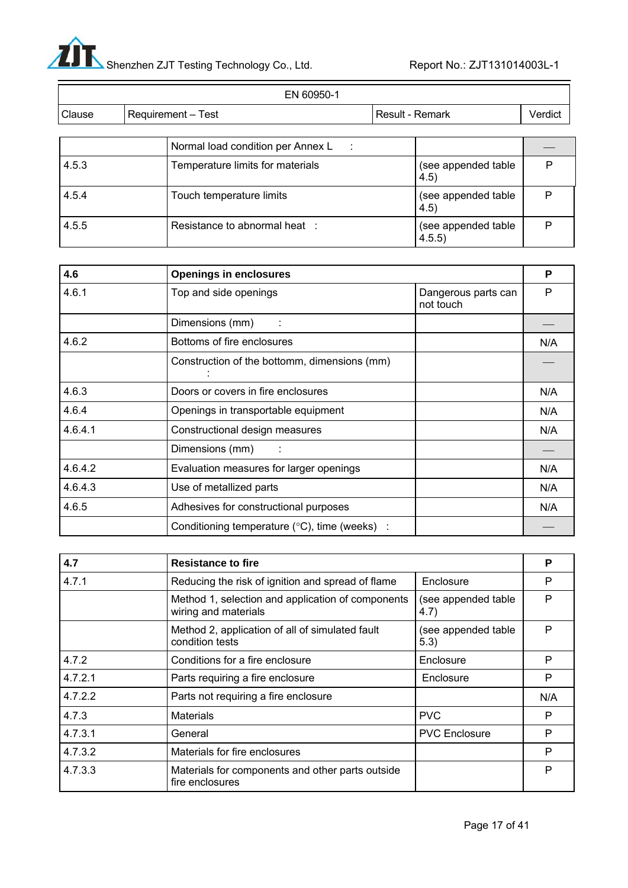

| EN 60950-1 |  |                                                     |                 |                               |         |
|------------|--|-----------------------------------------------------|-----------------|-------------------------------|---------|
| Clause     |  | <b>Requirement – Test</b>                           | Result - Remark |                               | Verdict |
|            |  | Normal load condition per Annex L<br>$\mathbb{R}^2$ |                 |                               |         |
| 4.5.3      |  | Temperature limits for materials                    |                 | (see appended table<br>4.5)   | P       |
| 4.5.4      |  | Touch temperature limits                            |                 | (see appended table<br>4.5)   | P       |
| 4.5.5      |  | Resistance to abnormal heat :                       |                 | (see appended table<br>4.5.5) | P       |

| 4.6     | <b>Openings in enclosures</b>                           |                                  | P   |
|---------|---------------------------------------------------------|----------------------------------|-----|
| 4.6.1   | Top and side openings                                   | Dangerous parts can<br>not touch | P   |
|         | Dimensions (mm)                                         |                                  |     |
| 4.6.2   | Bottoms of fire enclosures                              |                                  | N/A |
|         | Construction of the bottomm, dimensions (mm)            |                                  |     |
| 4.6.3   | Doors or covers in fire enclosures                      |                                  | N/A |
| 4.6.4   | Openings in transportable equipment                     |                                  | N/A |
| 4.6.4.1 | Constructional design measures                          |                                  | N/A |
|         | Dimensions (mm)                                         |                                  |     |
| 4.6.4.2 | Evaluation measures for larger openings                 |                                  | N/A |
| 4.6.4.3 | Use of metallized parts                                 |                                  | N/A |
| 4.6.5   | Adhesives for constructional purposes                   |                                  | N/A |
|         | Conditioning temperature $(^{\circ}C)$ , time (weeks) : |                                  |     |

| 4.7     | Resistance to fire                                                        |                             | P   |
|---------|---------------------------------------------------------------------------|-----------------------------|-----|
| 4.7.1   | Reducing the risk of ignition and spread of flame                         | Enclosure                   | P   |
|         | Method 1, selection and application of components<br>wiring and materials | (see appended table<br>4.7) | P   |
|         | Method 2, application of all of simulated fault<br>condition tests        | (see appended table<br>5.3) | P   |
| 4.7.2   | Conditions for a fire enclosure                                           | Enclosure                   | P   |
| 4.7.2.1 | Parts requiring a fire enclosure                                          | Enclosure                   | P   |
| 4.7.2.2 | Parts not requiring a fire enclosure                                      |                             | N/A |
| 4.7.3   | <b>Materials</b>                                                          | <b>PVC</b>                  | P   |
| 4.7.3.1 | General                                                                   | <b>PVC Enclosure</b>        | P   |
| 4.7.3.2 | Materials for fire enclosures                                             |                             | P   |
| 4.7.3.3 | Materials for components and other parts outside<br>fire enclosures       |                             | P   |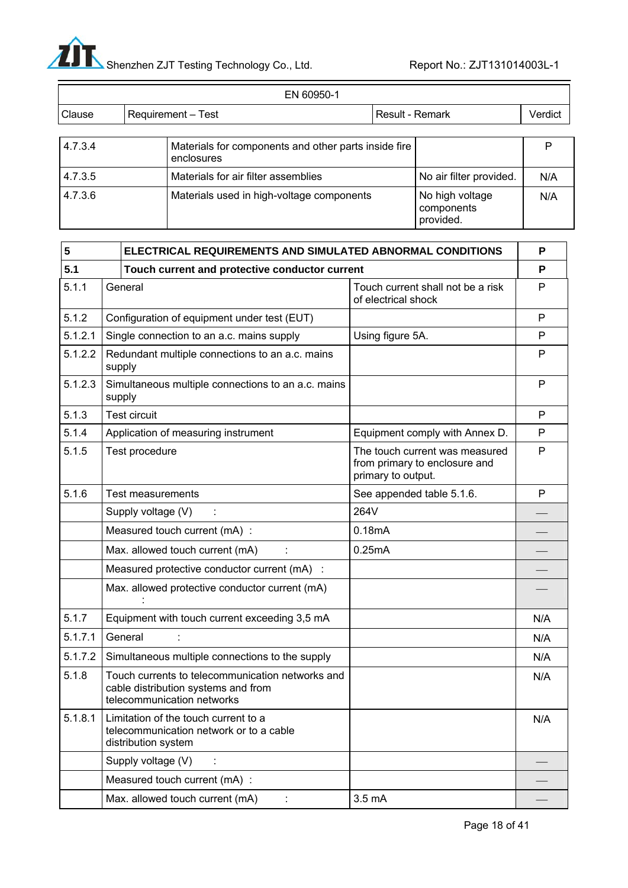

|         | EN 60950-1                                                         |                 |                                            |         |
|---------|--------------------------------------------------------------------|-----------------|--------------------------------------------|---------|
| Clause  | <b>Requirement – Test</b>                                          | Result - Remark |                                            | Verdict |
|         |                                                                    |                 |                                            |         |
| 4.7.3.4 | Materials for components and other parts inside fire<br>enclosures |                 |                                            |         |
| 4.7.3.5 | Materials for air filter assemblies                                |                 | No air filter provided.                    | N/A     |
| 4.7.3.6 | Materials used in high-voltage components                          |                 | No high voltage<br>components<br>provided. | N/A     |

| 5       | <b>ELECTRICAL REQUIREMENTS AND SIMULATED ABNORMAL CONDITIONS</b> |                                                                                                                       | P                                                                                     |              |
|---------|------------------------------------------------------------------|-----------------------------------------------------------------------------------------------------------------------|---------------------------------------------------------------------------------------|--------------|
| 5.1     |                                                                  | Touch current and protective conductor current                                                                        |                                                                                       | P            |
| 5.1.1   |                                                                  | General                                                                                                               | Touch current shall not be a risk<br>of electrical shock                              | P            |
| 5.1.2   |                                                                  | Configuration of equipment under test (EUT)                                                                           |                                                                                       | P            |
| 5.1.2.1 | Single connection to an a.c. mains supply                        |                                                                                                                       | Using figure 5A.                                                                      | P            |
| 5.1.2.2 |                                                                  | Redundant multiple connections to an a.c. mains<br>supply                                                             |                                                                                       | P            |
| 5.1.2.3 |                                                                  | Simultaneous multiple connections to an a.c. mains<br>supply                                                          |                                                                                       | $\mathsf{P}$ |
| 5.1.3   |                                                                  | <b>Test circuit</b>                                                                                                   |                                                                                       | P            |
| 5.1.4   |                                                                  | Application of measuring instrument                                                                                   | Equipment comply with Annex D.                                                        | P            |
| 5.1.5   |                                                                  | Test procedure                                                                                                        | The touch current was measured<br>from primary to enclosure and<br>primary to output. | P            |
| 5.1.6   |                                                                  | <b>Test measurements</b>                                                                                              | See appended table 5.1.6.                                                             | P            |
|         |                                                                  | Supply voltage (V)                                                                                                    | 264V                                                                                  |              |
|         |                                                                  | Measured touch current (mA) :                                                                                         | 0.18mA                                                                                |              |
|         |                                                                  | Max. allowed touch current (mA)                                                                                       | 0.25mA                                                                                |              |
|         |                                                                  | Measured protective conductor current (mA) :                                                                          |                                                                                       |              |
|         |                                                                  | Max. allowed protective conductor current (mA)                                                                        |                                                                                       |              |
| 5.1.7   |                                                                  | Equipment with touch current exceeding 3,5 mA                                                                         |                                                                                       | N/A          |
| 5.1.7.1 |                                                                  | General                                                                                                               |                                                                                       | N/A          |
| 5.1.7.2 |                                                                  | Simultaneous multiple connections to the supply                                                                       |                                                                                       | N/A          |
| 5.1.8   |                                                                  | Touch currents to telecommunication networks and<br>cable distribution systems and from<br>telecommunication networks |                                                                                       | N/A          |
| 5.1.8.1 |                                                                  | Limitation of the touch current to a<br>telecommunication network or to a cable<br>distribution system                |                                                                                       | N/A          |
|         |                                                                  | Supply voltage (V)                                                                                                    |                                                                                       |              |
|         |                                                                  | Measured touch current (mA) :                                                                                         |                                                                                       |              |
|         |                                                                  | Max. allowed touch current (mA)                                                                                       | 3.5 <sub>m</sub> A                                                                    |              |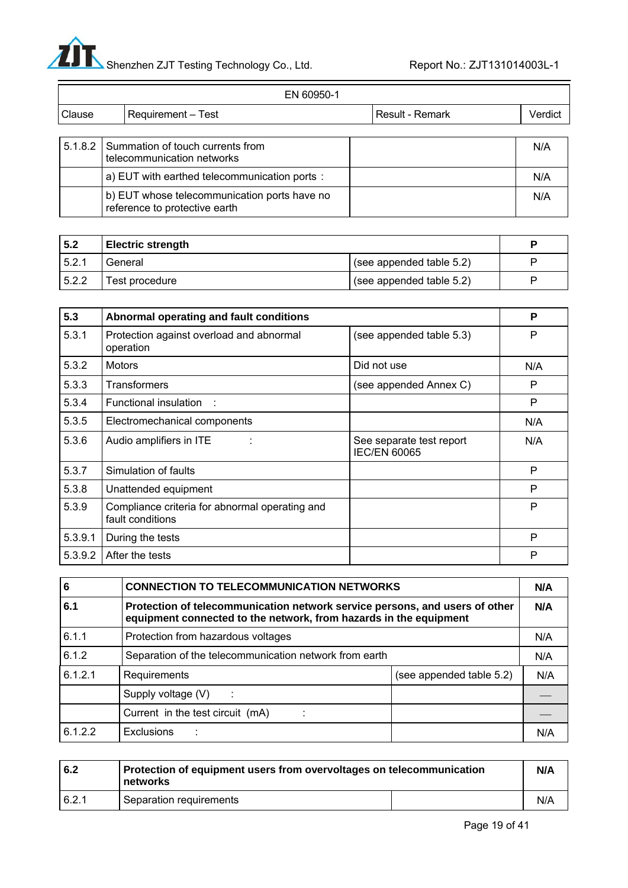

 $\equiv$ 

|        | EN 60950-1                                                                    |                 |         |
|--------|-------------------------------------------------------------------------------|-----------------|---------|
| Clause | Requirement - Test                                                            | Result - Remark | Verdict |
|        |                                                                               |                 |         |
|        | 5.1.8.2 Summation of touch currents from<br>telecommunication networks        |                 | N/A     |
|        | a) EUT with earthed telecommunication ports :                                 |                 | N/A     |
|        | b) EUT whose telecommunication ports have no<br>reference to protective earth |                 | N/A     |

| 5.2   | <b>Electric strength</b> |                                        |  |
|-------|--------------------------|----------------------------------------|--|
| 5.2.1 | General                  | (see appended table 5.2)               |  |
| 5.2.2 | Test procedure           | $\frac{1}{2}$ (see appended table 5.2) |  |

| 5.3     | Abnormal operating and fault conditions                            |                                                 |     |
|---------|--------------------------------------------------------------------|-------------------------------------------------|-----|
| 5.3.1   | Protection against overload and abnormal<br>operation              | (see appended table 5.3)                        | P   |
| 5.3.2   | <b>Motors</b>                                                      | Did not use                                     | N/A |
| 5.3.3   | <b>Transformers</b>                                                | (see appended Annex C)                          | P   |
| 5.3.4   | Functional insulation :                                            |                                                 | P   |
| 5.3.5   | Electromechanical components                                       |                                                 | N/A |
| 5.3.6   | Audio amplifiers in ITE                                            | See separate test report<br><b>IEC/EN 60065</b> | N/A |
| 5.3.7   | Simulation of faults                                               |                                                 | P   |
| 5.3.8   | Unattended equipment                                               |                                                 | P   |
| 5.3.9   | Compliance criteria for abnormal operating and<br>fault conditions |                                                 | P   |
| 5.3.9.1 | During the tests                                                   |                                                 | P   |
| 5.3.9.2 | After the tests                                                    |                                                 | P   |

| 6       | <b>CONNECTION TO TELECOMMUNICATION NETWORKS</b>                                                                                                  |                          | N/A |
|---------|--------------------------------------------------------------------------------------------------------------------------------------------------|--------------------------|-----|
| 6.1     | Protection of telecommunication network service persons, and users of other<br>equipment connected to the network, from hazards in the equipment |                          |     |
| 6.1.1   | Protection from hazardous voltages                                                                                                               |                          | N/A |
| 6.1.2   | Separation of the telecommunication network from earth                                                                                           |                          | N/A |
| 6.1.2.1 | Requirements                                                                                                                                     | (see appended table 5.2) | N/A |
|         | Supply voltage (V)                                                                                                                               |                          |     |
|         | Current in the test circuit (mA)                                                                                                                 |                          |     |
| 6.1.2.2 | <b>Exclusions</b>                                                                                                                                |                          | N/A |

| 6.2   | Protection of equipment users from overvoltages on telecommunication<br>networks | N/A |
|-------|----------------------------------------------------------------------------------|-----|
| 6.2.1 | Separation requirements                                                          | N/A |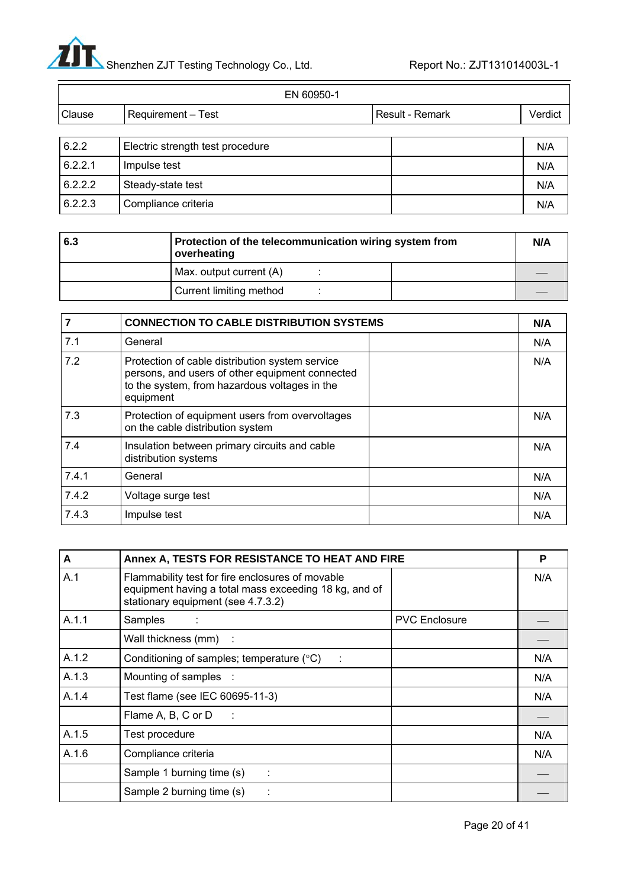

| EN 60950-1 |                                  |  |                 |         |
|------------|----------------------------------|--|-----------------|---------|
| Clause     | Requirement - Test               |  | Result - Remark | Verdict |
|            |                                  |  |                 |         |
| 6.2.2      | Electric strength test procedure |  |                 | N/A     |
| 6.2.2.1    | Impulse test                     |  |                 | N/A     |
| 6.2.2.2    | Steady-state test                |  |                 | N/A     |
| 6.2.2.3    | Compliance criteria              |  |                 | N/A     |

| 6.3 | Protection of the telecommunication wiring system from<br>overheating |  | N/A |
|-----|-----------------------------------------------------------------------|--|-----|
|     | Max. output current (A)                                               |  |     |
|     | Current limiting method                                               |  |     |

|       | <b>CONNECTION TO CABLE DISTRIBUTION SYSTEMS</b>                                                                                                                  |     |
|-------|------------------------------------------------------------------------------------------------------------------------------------------------------------------|-----|
| 7.1   | General                                                                                                                                                          | N/A |
| 7.2   | Protection of cable distribution system service<br>persons, and users of other equipment connected<br>to the system, from hazardous voltages in the<br>equipment | N/A |
| 7.3   | Protection of equipment users from overvoltages<br>on the cable distribution system                                                                              | N/A |
| 7.4   | Insulation between primary circuits and cable<br>distribution systems                                                                                            | N/A |
| 7.4.1 | General                                                                                                                                                          | N/A |
| 7.4.2 | Voltage surge test                                                                                                                                               | N/A |
| 7.4.3 | Impulse test                                                                                                                                                     | N/A |

| A     | Annex A, TESTS FOR RESISTANCE TO HEAT AND FIRE                                                                                                  |                      | P   |
|-------|-------------------------------------------------------------------------------------------------------------------------------------------------|----------------------|-----|
| A.1   | Flammability test for fire enclosures of movable<br>equipment having a total mass exceeding 18 kg, and of<br>stationary equipment (see 4.7.3.2) |                      | N/A |
| A.1.1 | Samples                                                                                                                                         | <b>PVC Enclosure</b> |     |
|       | Wall thickness (mm) :                                                                                                                           |                      |     |
| A.1.2 | Conditioning of samples; temperature (°C)                                                                                                       |                      | N/A |
| A.1.3 | Mounting of samples                                                                                                                             |                      | N/A |
| A.1.4 | Test flame (see IEC 60695-11-3)                                                                                                                 |                      | N/A |
|       | Flame A, B, C or D                                                                                                                              |                      |     |
| A.1.5 | Test procedure                                                                                                                                  |                      | N/A |
| A.1.6 | Compliance criteria                                                                                                                             |                      | N/A |
|       | Sample 1 burning time (s)<br>÷                                                                                                                  |                      |     |
|       | Sample 2 burning time (s)                                                                                                                       |                      |     |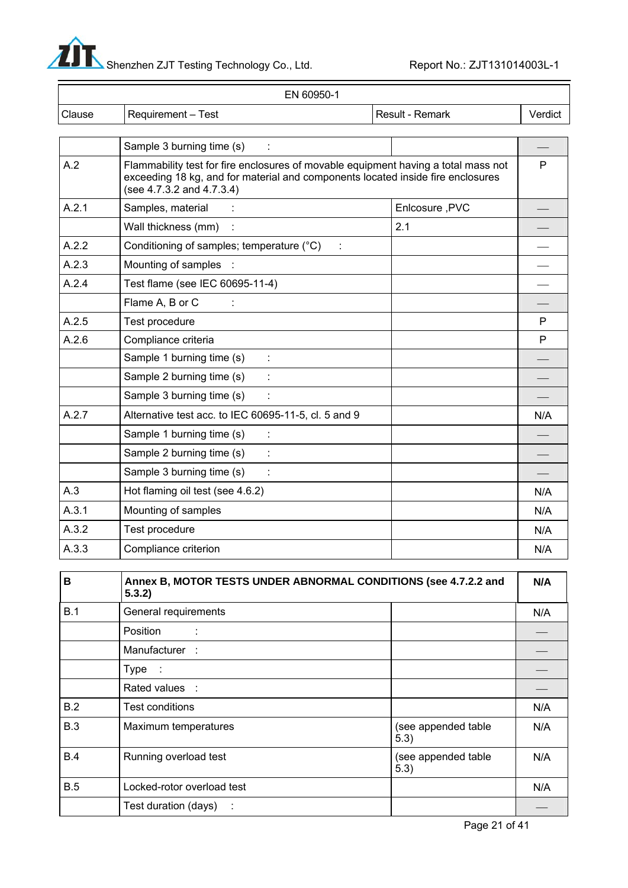

| EN 60950-1                                           |                 |                                                                                                                                                                       |  |
|------------------------------------------------------|-----------------|-----------------------------------------------------------------------------------------------------------------------------------------------------------------------|--|
| Requirement - Test                                   | Result - Remark | Verdict                                                                                                                                                               |  |
| Sample 3 burning time (s)                            |                 |                                                                                                                                                                       |  |
| (see $4.7.3.2$ and $4.7.3.4$ )                       |                 | P                                                                                                                                                                     |  |
| Samples, material                                    | Enlcosure, PVC  |                                                                                                                                                                       |  |
| Wall thickness (mm)                                  | 2.1             |                                                                                                                                                                       |  |
| Conditioning of samples; temperature (°C)            |                 |                                                                                                                                                                       |  |
| Mounting of samples                                  |                 |                                                                                                                                                                       |  |
| Test flame (see IEC 60695-11-4)                      |                 |                                                                                                                                                                       |  |
| Flame A, B or C                                      |                 |                                                                                                                                                                       |  |
| Test procedure                                       |                 | P                                                                                                                                                                     |  |
| Compliance criteria                                  |                 | P                                                                                                                                                                     |  |
| Sample 1 burning time (s)                            |                 |                                                                                                                                                                       |  |
| Sample 2 burning time (s)                            |                 |                                                                                                                                                                       |  |
| Sample 3 burning time (s)                            |                 |                                                                                                                                                                       |  |
| Alternative test acc. to IEC 60695-11-5, cl. 5 and 9 |                 | N/A                                                                                                                                                                   |  |
| Sample 1 burning time (s)                            |                 |                                                                                                                                                                       |  |
| Sample 2 burning time (s)                            |                 |                                                                                                                                                                       |  |
| Sample 3 burning time (s)                            |                 |                                                                                                                                                                       |  |
| Hot flaming oil test (see 4.6.2)                     |                 | N/A                                                                                                                                                                   |  |
| Mounting of samples                                  |                 | N/A                                                                                                                                                                   |  |
| Test procedure                                       |                 | N/A                                                                                                                                                                   |  |
| Compliance criterion                                 |                 | N/A                                                                                                                                                                   |  |
|                                                      |                 | Flammability test for fire enclosures of movable equipment having a total mass not<br>exceeding 18 kg, and for material and components located inside fire enclosures |  |

| B          | Annex B, MOTOR TESTS UNDER ABNORMAL CONDITIONS (see 4.7.2.2 and<br>5.3.2) |                             | N/A |
|------------|---------------------------------------------------------------------------|-----------------------------|-----|
| B.1        | General requirements                                                      |                             | N/A |
|            | Position                                                                  |                             |     |
|            | Manufacturer:                                                             |                             |     |
|            | Type :                                                                    |                             |     |
|            | Rated values :                                                            |                             |     |
| B.2        | Test conditions                                                           |                             | N/A |
| <b>B.3</b> | Maximum temperatures                                                      | (see appended table<br>5.3) | N/A |
| B.4        | Running overload test                                                     | (see appended table<br>5.3) | N/A |
| <b>B.5</b> | Locked-rotor overload test                                                |                             | N/A |
|            | Test duration (days)<br>÷                                                 |                             |     |

Page 21 of 41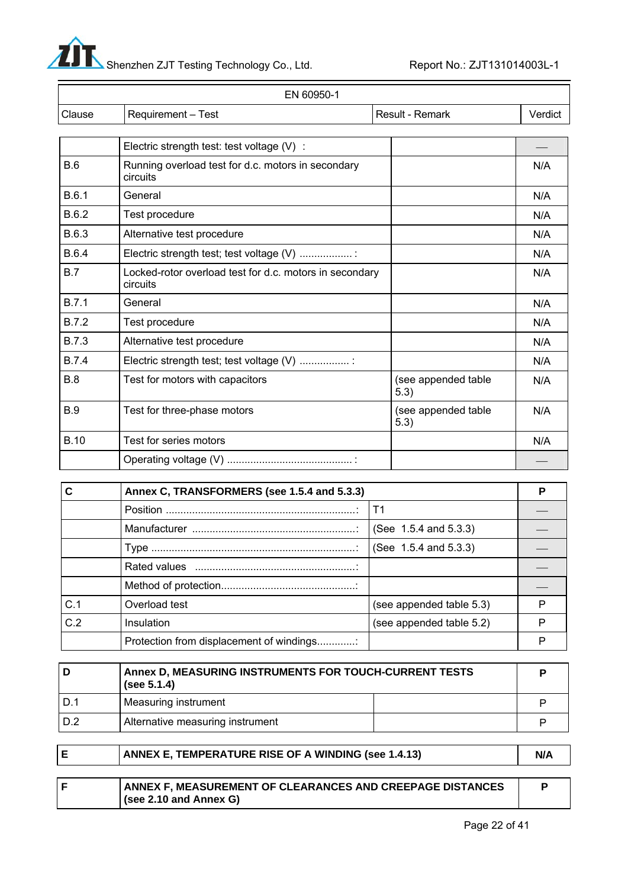

|              | EN 60950-1                                                          |                             |         |
|--------------|---------------------------------------------------------------------|-----------------------------|---------|
| Clause       | Requirement - Test                                                  | Result - Remark             | Verdict |
|              |                                                                     |                             |         |
|              | Electric strength test: test voltage (V) :                          |                             |         |
| B.6          | Running overload test for d.c. motors in secondary<br>circuits      |                             | N/A     |
| B.6.1        | General                                                             |                             | N/A     |
| B.6.2        | Test procedure                                                      |                             | N/A     |
| B.6.3        | Alternative test procedure                                          |                             | N/A     |
| <b>B.6.4</b> | Electric strength test; test voltage (V) :                          |                             | N/A     |
| B.7          | Locked-rotor overload test for d.c. motors in secondary<br>circuits |                             | N/A     |
| B.7.1        | General                                                             |                             | N/A     |
| <b>B.7.2</b> | Test procedure                                                      |                             | N/A     |
| <b>B.7.3</b> | Alternative test procedure                                          |                             | N/A     |
| <b>B.7.4</b> | Electric strength test; test voltage (V)                            |                             | N/A     |
| B.8          | Test for motors with capacitors                                     | (see appended table<br>5.3) | N/A     |
| <b>B.9</b>   | Test for three-phase motors                                         | (see appended table<br>5.3) | N/A     |
| <b>B.10</b>  | Test for series motors                                              |                             | N/A     |
|              |                                                                     |                             |         |

|     | Annex C, TRANSFORMERS (see 1.5.4 and 5.3.3) |                            |   |
|-----|---------------------------------------------|----------------------------|---|
|     |                                             |                            |   |
|     |                                             | (See 1.5.4 and 5.3.3)      |   |
|     |                                             | (See $1.5.4$ and $5.3.3$ ) |   |
|     |                                             |                            |   |
|     |                                             |                            |   |
| C.1 | Overload test                               | (see appended table 5.3)   |   |
| C.2 | Insulation                                  | (see appended table 5.2)   | D |
|     | Protection from displacement of windings    |                            |   |

| D     | Annex D, MEASURING INSTRUMENTS FOR TOUCH-CURRENT TESTS<br>(see $5.1.4$ ) |  |
|-------|--------------------------------------------------------------------------|--|
| i D.1 | Measuring instrument                                                     |  |
| I D.2 | Alternative measuring instrument                                         |  |

| ANNEX E, TEMPERATURE RISE OF A WINDING (see 1.4.13)                                        | N/A |
|--------------------------------------------------------------------------------------------|-----|
|                                                                                            |     |
| <b>ANNEX F, MEASUREMENT OF CLEARANCES AND CREEPAGE DISTANCES</b><br>(see 2.10 and Annex G) |     |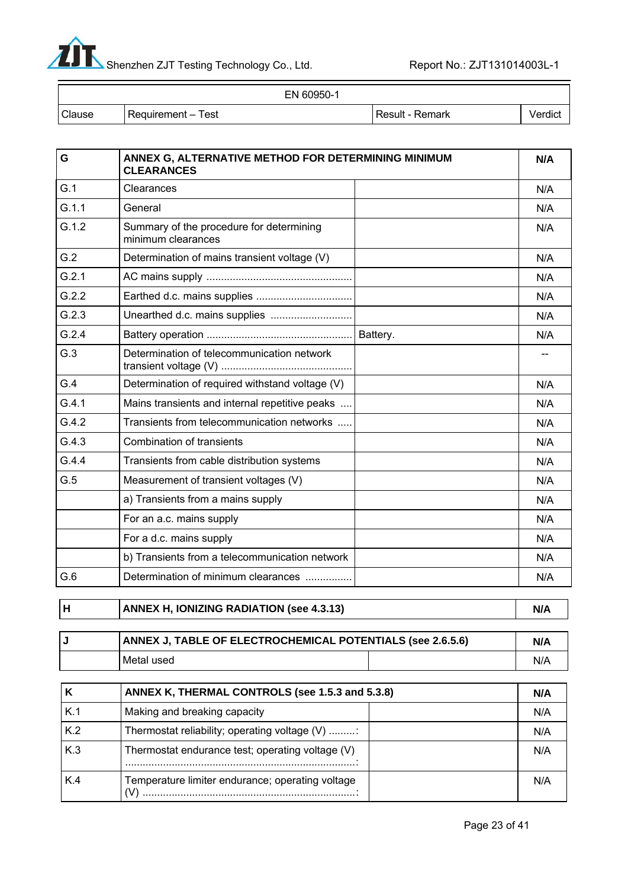

| EN 60950-1 |                    |                 |         |
|------------|--------------------|-----------------|---------|
| Clause     | Requirement – Test | Result - Remark | Verdict |

| G     | ANNEX G, ALTERNATIVE METHOD FOR DETERMINING MINIMUM<br><b>CLEARANCES</b> |          | N/A |
|-------|--------------------------------------------------------------------------|----------|-----|
| G.1   | Clearances                                                               |          | N/A |
| G.1.1 | General                                                                  |          | N/A |
| G.1.2 | Summary of the procedure for determining<br>minimum clearances           |          | N/A |
| G.2   | Determination of mains transient voltage (V)                             |          | N/A |
| G.2.1 |                                                                          |          | N/A |
| G.2.2 |                                                                          |          | N/A |
| G.2.3 | Unearthed d.c. mains supplies                                            |          | N/A |
| G.2.4 |                                                                          | Battery. | N/A |
| G.3   | Determination of telecommunication network                               |          |     |
| G.4   | Determination of required withstand voltage (V)                          |          | N/A |
| G.4.1 | Mains transients and internal repetitive peaks                           |          | N/A |
| G.4.2 | Transients from telecommunication networks                               |          | N/A |
| G.4.3 | <b>Combination of transients</b>                                         |          | N/A |
| G.4.4 | Transients from cable distribution systems                               |          | N/A |
| G.5   | Measurement of transient voltages (V)                                    |          | N/A |
|       | a) Transients from a mains supply                                        |          | N/A |
|       | For an a.c. mains supply                                                 |          | N/A |
|       | For a d.c. mains supply                                                  |          | N/A |
|       | b) Transients from a telecommunication network                           |          | N/A |
| G.6   | Determination of minimum clearances                                      |          | N/A |

**H** ANNEX H, IONIZING RADIATION (see 4.3.13) N/A

| ANNEX J, TABLE OF ELECTROCHEMICAL POTENTIALS (see 2.6.5.6) |  | N/A |
|------------------------------------------------------------|--|-----|
| l Metal used                                               |  | N/A |

|     | ANNEX K, THERMAL CONTROLS (see 1.5.3 and 5.3.8)  |     |
|-----|--------------------------------------------------|-----|
| K.1 | Making and breaking capacity                     | N/A |
| K.2 | Thermostat reliability; operating voltage (V)    | N/A |
| K.3 | Thermostat endurance test; operating voltage (V) | N/A |
| K.4 | Temperature limiter endurance; operating voltage | N/A |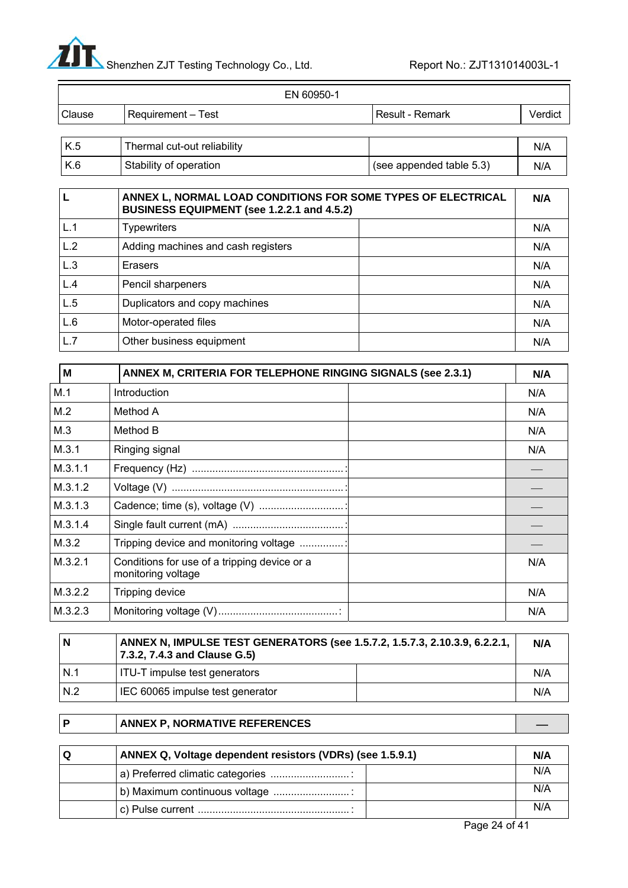

|                | EN 60950-1                  |                   |            |
|----------------|-----------------------------|-------------------|------------|
| Clause         | Requirement - Test          | l Result - Remark | Verdict    |
|                |                             |                   |            |
| $\overline{V}$ | Thormal out out raliability |                   | <b>AIA</b> |

| K.5 | Thermal cut-out reliability |                          | N/A |
|-----|-----------------------------|--------------------------|-----|
| K.6 | Stability of operation      | (see appended table 5.3) | N/A |

|     | ANNEX L, NORMAL LOAD CONDITIONS FOR SOME TYPES OF ELECTRICAL<br>BUSINESS EQUIPMENT (see 1.2.2.1 and 4.5.2) |     |
|-----|------------------------------------------------------------------------------------------------------------|-----|
| L.1 | <b>Typewriters</b>                                                                                         | N/A |
| L.2 | Adding machines and cash registers                                                                         | N/A |
| L.3 | Erasers                                                                                                    | N/A |
| L.4 | Pencil sharpeners                                                                                          | N/A |
| L.5 | Duplicators and copy machines                                                                              | N/A |
| L.6 | Motor-operated files                                                                                       | N/A |
| L.7 | Other business equipment                                                                                   | N/A |

| M       | ANNEX M, CRITERIA FOR TELEPHONE RINGING SIGNALS (see 2.3.1)        |  | N/A |
|---------|--------------------------------------------------------------------|--|-----|
| M.1     | Introduction                                                       |  | N/A |
| M.2     | Method A                                                           |  | N/A |
| M.3     | Method B                                                           |  | N/A |
| M.3.1   | Ringing signal                                                     |  | N/A |
| M.3.1.1 |                                                                    |  |     |
| M.3.1.2 |                                                                    |  |     |
| M.3.1.3 |                                                                    |  |     |
| M.3.1.4 |                                                                    |  |     |
| M.3.2   | Tripping device and monitoring voltage                             |  |     |
| M.3.2.1 | Conditions for use of a tripping device or a<br>monitoring voltage |  | N/A |
| M.3.2.2 | Tripping device                                                    |  | N/A |
| M.3.2.3 |                                                                    |  | N/A |

| ۱N    | ANNEX N, IMPULSE TEST GENERATORS (see 1.5.7.2, 1.5.7.3, 2.10.3.9, 6.2.2.1,<br>7.3.2, 7.4.3 and Clause G.5) |  | N/A |
|-------|------------------------------------------------------------------------------------------------------------|--|-----|
| I N.1 | ITU-T impulse test generators                                                                              |  | N/A |
| IN.2  | IEC 60065 impulse test generator                                                                           |  | N/A |

### **P** ANNEX P, NORMATIVE REFERENCES **And A**

| O | ANNEX Q, Voltage dependent resistors (VDRs) (see 1.5.9.1) |     |
|---|-----------------------------------------------------------|-----|
|   |                                                           | N/A |
|   | b) Maximum continuous voltage                             | N/A |
|   |                                                           | N/A |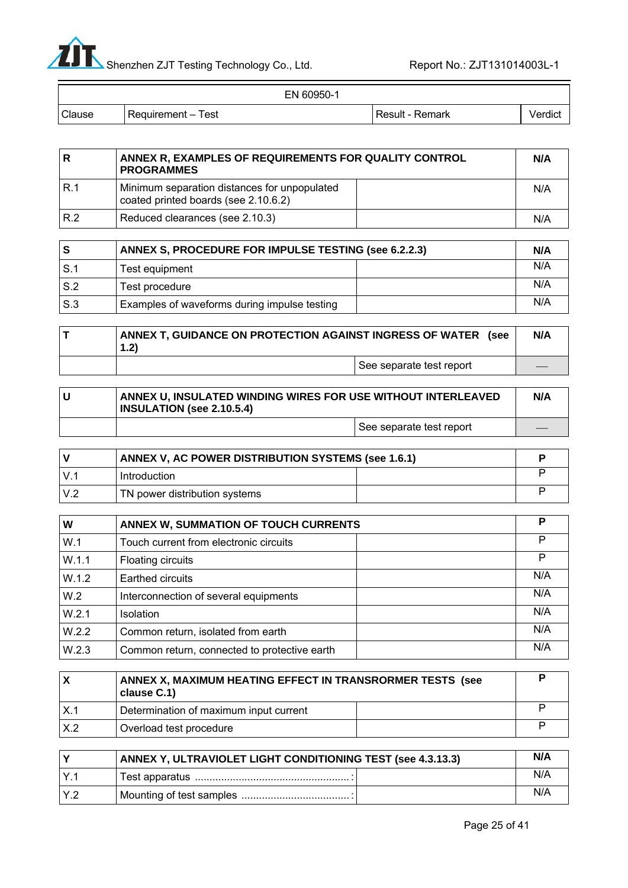

 $\equiv$ 

| EN 60950-1 |                    |                   |         |
|------------|--------------------|-------------------|---------|
| Clause     | Requirement - Test | l Result - Remark | Verdict |

|     | ANNEX R. EXAMPLES OF REQUIREMENTS FOR QUALITY CONTROL<br><b>PROGRAMMES</b>           |     |
|-----|--------------------------------------------------------------------------------------|-----|
| R.1 | Minimum separation distances for unpopulated<br>coated printed boards (see 2.10.6.2) | N/A |
| R.2 | Reduced clearances (see 2.10.3)                                                      | N/A |

|     | ANNEX S, PROCEDURE FOR IMPULSE TESTING (see 6.2.2.3) |     |
|-----|------------------------------------------------------|-----|
| S.1 | Test equipment                                       | N/A |
| S.2 | Test procedure                                       | N/A |
| S.3 | Examples of waveforms during impulse testing         | N/A |

| ANNEX T, GUIDANCE ON PROTECTION AGAINST INGRESS OF WATER<br>(see<br>1.2) |                          | N/A |
|--------------------------------------------------------------------------|--------------------------|-----|
|                                                                          | See separate test report |     |

| ANNEX U, INSULATED WINDING WIRES FOR USE WITHOUT INTERLEAVED<br><b>INSULATION (see 2.10.5.4)</b> |  |
|--------------------------------------------------------------------------------------------------|--|
| See separate test report                                                                         |  |

| ANNEX V, AC POWER DISTRIBUTION SYSTEMS (see 1.6.1) |  |  |
|----------------------------------------------------|--|--|
| Introduction                                       |  |  |
| TN power distribution systems                      |  |  |

| W     | ANNEX W, SUMMATION OF TOUCH CURRENTS         |  | Р   |
|-------|----------------------------------------------|--|-----|
| W.1   | Touch current from electronic circuits       |  | P   |
| W.1.1 | Floating circuits                            |  | P   |
| W.1.2 | Earthed circuits                             |  | N/A |
| W.2   | Interconnection of several equipments        |  | N/A |
| W.2.1 | <b>Isolation</b>                             |  | N/A |
| W.2.2 | Common return, isolated from earth           |  | N/A |
| W.2.3 | Common return, connected to protective earth |  | N/A |

|                 | ANNEX X, MAXIMUM HEATING EFFECT IN TRANSRORMER TESTS (see<br>clause C.1) |  |
|-----------------|--------------------------------------------------------------------------|--|
|                 | Determination of maximum input current                                   |  |
| $\mathsf{X}$ .2 | Overload test procedure                                                  |  |

|                         | ANNEX Y, ULTRAVIOLET LIGHT CONDITIONING TEST (see 4.3.13.3) |  |     |
|-------------------------|-------------------------------------------------------------|--|-----|
|                         |                                                             |  | N/A |
| $\mathsf{I} \mathsf{Y}$ |                                                             |  | N/A |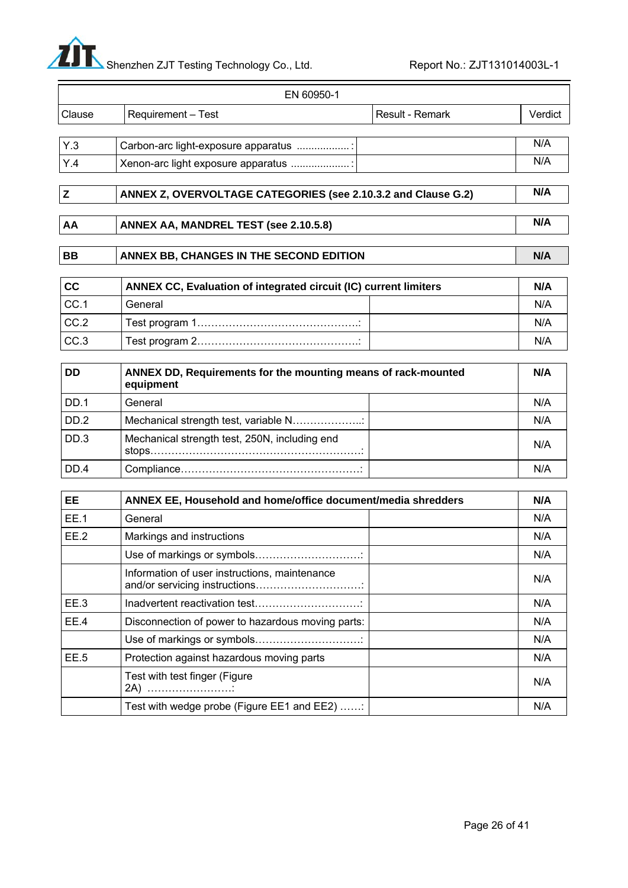

|             | EN 60950-1                                                                 |         |
|-------------|----------------------------------------------------------------------------|---------|
| Clause      | Requirement - Test<br>Result - Remark                                      | Verdict |
| Y.3         | Carbon-arc light-exposure apparatus                                        | N/A     |
| Y.4         | Xenon-arc light exposure apparatus                                         | N/A     |
| Z           | ANNEX Z, OVERVOLTAGE CATEGORIES (see 2.10.3.2 and Clause G.2)              | N/A     |
| AA          | ANNEX AA, MANDREL TEST (see 2.10.5.8)                                      | N/A     |
| <b>BB</b>   | ANNEX BB, CHANGES IN THE SECOND EDITION                                    | N/A     |
| cc          | ANNEX CC, Evaluation of integrated circuit (IC) current limiters           | N/A     |
| CC.1        | General                                                                    | N/A     |
| CC.2        |                                                                            | N/A     |
| CC.3        |                                                                            | N/A     |
| <b>DD</b>   | ANNEX DD, Requirements for the mounting means of rack-mounted<br>equipment | N/A     |
| <b>DD.1</b> | General                                                                    | N/A     |
| DD.2        | Mechanical strength test, variable N                                       | N/A     |
| DD.3        | Mechanical strength test, 250N, including end                              | N/A     |
| DD.4        |                                                                            | N/A     |
| <b>EE</b>   | ANNEX EE, Household and home/office document/media shredders               | N/A     |
| <b>EE.1</b> | General                                                                    | N/A     |
|             |                                                                            |         |

| EE.1 | General                                           | N/A |
|------|---------------------------------------------------|-----|
| EE.2 | Markings and instructions                         | N/A |
|      |                                                   | N/A |
|      | Information of user instructions, maintenance     | N/A |
| EE.3 |                                                   | N/A |
| EE.4 | Disconnection of power to hazardous moving parts: | N/A |
|      |                                                   | N/A |
| EE.5 | Protection against hazardous moving parts         | N/A |
|      | Test with test finger (Figure<br>2A)              | N/A |
|      | Test with wedge probe (Figure EE1 and EE2)        | N/A |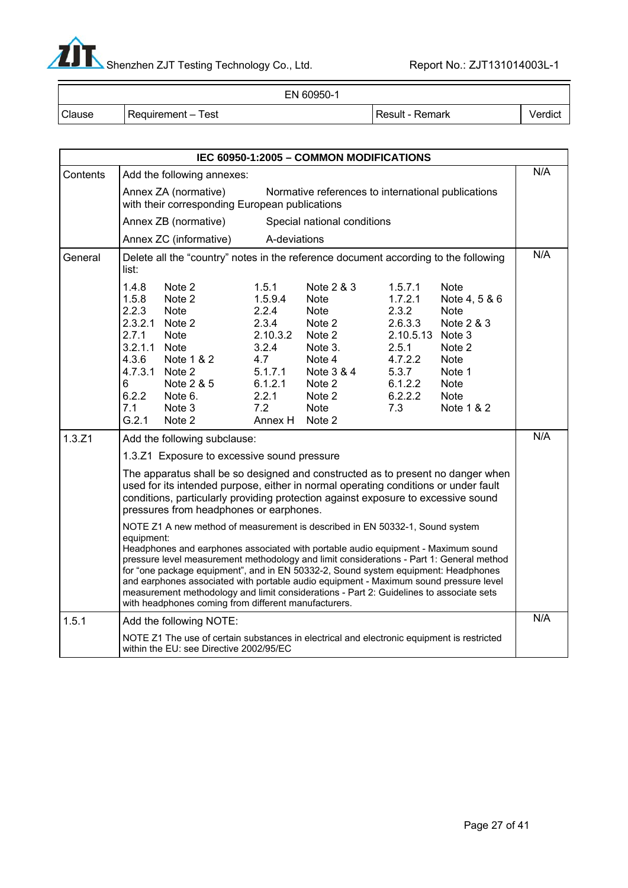

|               | EN 60950-1         |                 |         |
|---------------|--------------------|-----------------|---------|
| <b>Clause</b> | Requirement – Test | Result - Remark | Verdict |

| IEC 60950-1:2005 - COMMON MODIFICATIONS |                                                                                                                                                                                                                                                                                                                                                                                                                                                                                                                                                                                                               |                                                                                                                                                              |                                                                                                                 |                                                                                                                                       |                                                                                                                      |                                                                                                                                   |     |
|-----------------------------------------|---------------------------------------------------------------------------------------------------------------------------------------------------------------------------------------------------------------------------------------------------------------------------------------------------------------------------------------------------------------------------------------------------------------------------------------------------------------------------------------------------------------------------------------------------------------------------------------------------------------|--------------------------------------------------------------------------------------------------------------------------------------------------------------|-----------------------------------------------------------------------------------------------------------------|---------------------------------------------------------------------------------------------------------------------------------------|----------------------------------------------------------------------------------------------------------------------|-----------------------------------------------------------------------------------------------------------------------------------|-----|
| Contents                                | Add the following annexes:                                                                                                                                                                                                                                                                                                                                                                                                                                                                                                                                                                                    |                                                                                                                                                              |                                                                                                                 |                                                                                                                                       |                                                                                                                      | N/A                                                                                                                               |     |
|                                         | Annex ZA (normative)<br>Normative references to international publications<br>with their corresponding European publications                                                                                                                                                                                                                                                                                                                                                                                                                                                                                  |                                                                                                                                                              |                                                                                                                 |                                                                                                                                       |                                                                                                                      |                                                                                                                                   |     |
|                                         |                                                                                                                                                                                                                                                                                                                                                                                                                                                                                                                                                                                                               | Annex ZB (normative)                                                                                                                                         |                                                                                                                 | Special national conditions                                                                                                           |                                                                                                                      |                                                                                                                                   |     |
|                                         |                                                                                                                                                                                                                                                                                                                                                                                                                                                                                                                                                                                                               | Annex ZC (informative)                                                                                                                                       | A-deviations                                                                                                    |                                                                                                                                       |                                                                                                                      |                                                                                                                                   |     |
| General                                 | list:                                                                                                                                                                                                                                                                                                                                                                                                                                                                                                                                                                                                         | Delete all the "country" notes in the reference document according to the following                                                                          |                                                                                                                 |                                                                                                                                       |                                                                                                                      |                                                                                                                                   | N/A |
|                                         | 1.4.8<br>1.5.8<br>2.2.3<br>2.7.1<br>3.2.1.1<br>4.3.6<br>6<br>6.2.2<br>7.1<br>G.2.1                                                                                                                                                                                                                                                                                                                                                                                                                                                                                                                            | Note 2<br>Note 2<br><b>Note</b><br>2.3.2.1 Note 2<br><b>Note</b><br><b>Note</b><br>Note 1 & 2<br>4.7.3.1 Note 2<br>Note 2 & 5<br>Note 6.<br>Note 3<br>Note 2 | 1.5.1<br>1.5.9.4<br>2.2.4<br>2.3.4<br>2.10.3.2<br>3.2.4<br>4.7<br>5.1.7.1<br>6.1.2.1<br>2.2.1<br>7.2<br>Annex H | Note 2 & 3<br><b>Note</b><br><b>Note</b><br>Note 2<br>Note 2<br>Note 3.<br>Note 4<br>Note 3 & 4<br>Note 2<br>Note 2<br>Note<br>Note 2 | 1.5.7.1<br>1.7.2.1<br>2.3.2<br>2.6.3.3<br>2.10.5.13 Note 3<br>2.5.1<br>4.7.2.2<br>5.3.7<br>6.1.2.2<br>6.2.2.2<br>7.3 | <b>Note</b><br>Note 4, 5 & 6<br>Note<br>Note 2 & 3<br>Note 2<br><b>Note</b><br>Note 1<br><b>Note</b><br><b>Note</b><br>Note 1 & 2 |     |
| 1.3.Z1                                  |                                                                                                                                                                                                                                                                                                                                                                                                                                                                                                                                                                                                               | Add the following subclause:                                                                                                                                 |                                                                                                                 |                                                                                                                                       |                                                                                                                      |                                                                                                                                   | N/A |
|                                         |                                                                                                                                                                                                                                                                                                                                                                                                                                                                                                                                                                                                               | 1.3.Z1 Exposure to excessive sound pressure                                                                                                                  |                                                                                                                 |                                                                                                                                       |                                                                                                                      |                                                                                                                                   |     |
|                                         | The apparatus shall be so designed and constructed as to present no danger when<br>used for its intended purpose, either in normal operating conditions or under fault<br>conditions, particularly providing protection against exposure to excessive sound<br>pressures from headphones or earphones.                                                                                                                                                                                                                                                                                                        |                                                                                                                                                              |                                                                                                                 |                                                                                                                                       |                                                                                                                      |                                                                                                                                   |     |
|                                         | NOTE Z1 A new method of measurement is described in EN 50332-1, Sound system<br>equipment:<br>Headphones and earphones associated with portable audio equipment - Maximum sound<br>pressure level measurement methodology and limit considerations - Part 1: General method<br>for "one package equipment", and in EN 50332-2, Sound system equipment: Headphones<br>and earphones associated with portable audio equipment - Maximum sound pressure level<br>measurement methodology and limit considerations - Part 2: Guidelines to associate sets<br>with headphones coming from different manufacturers. |                                                                                                                                                              |                                                                                                                 |                                                                                                                                       |                                                                                                                      |                                                                                                                                   |     |
| 1.5.1                                   | Add the following NOTE:                                                                                                                                                                                                                                                                                                                                                                                                                                                                                                                                                                                       |                                                                                                                                                              |                                                                                                                 |                                                                                                                                       | N/A                                                                                                                  |                                                                                                                                   |     |
|                                         |                                                                                                                                                                                                                                                                                                                                                                                                                                                                                                                                                                                                               | NOTE Z1 The use of certain substances in electrical and electronic equipment is restricted<br>within the EU: see Directive 2002/95/EC                        |                                                                                                                 |                                                                                                                                       |                                                                                                                      |                                                                                                                                   |     |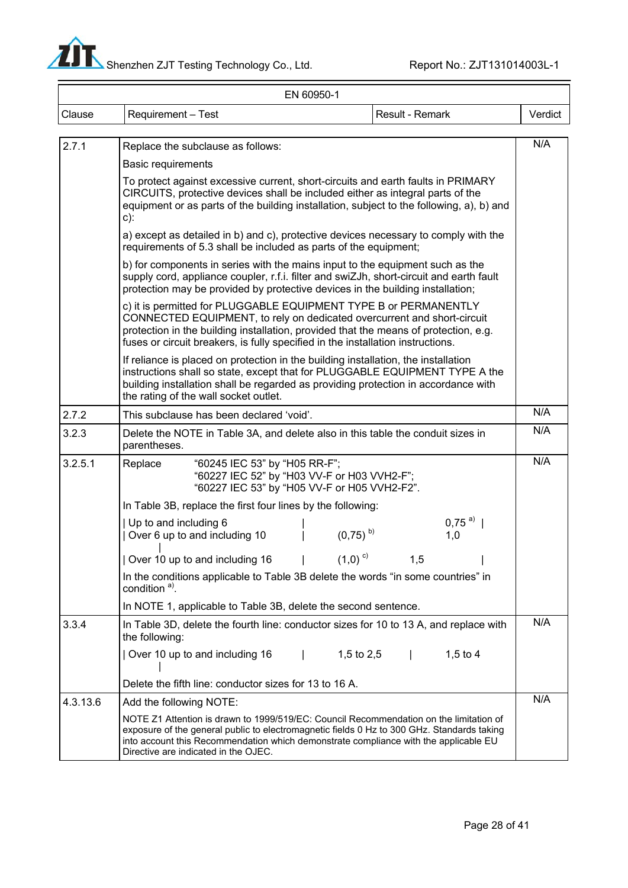

|          | EN 60950-1                                                                                                                                                                                                                                                                                                             |         |  |  |  |
|----------|------------------------------------------------------------------------------------------------------------------------------------------------------------------------------------------------------------------------------------------------------------------------------------------------------------------------|---------|--|--|--|
| Clause   | Requirement - Test<br>Result - Remark                                                                                                                                                                                                                                                                                  | Verdict |  |  |  |
|          |                                                                                                                                                                                                                                                                                                                        |         |  |  |  |
| 2.7.1    | Replace the subclause as follows:                                                                                                                                                                                                                                                                                      | N/A     |  |  |  |
|          | <b>Basic requirements</b>                                                                                                                                                                                                                                                                                              |         |  |  |  |
|          | To protect against excessive current, short-circuits and earth faults in PRIMARY<br>CIRCUITS, protective devices shall be included either as integral parts of the<br>equipment or as parts of the building installation, subject to the following, a), b) and<br>$c)$ :                                               |         |  |  |  |
|          | a) except as detailed in b) and c), protective devices necessary to comply with the<br>requirements of 5.3 shall be included as parts of the equipment;                                                                                                                                                                |         |  |  |  |
|          | b) for components in series with the mains input to the equipment such as the<br>supply cord, appliance coupler, r.f.i. filter and swiZJh, short-circuit and earth fault<br>protection may be provided by protective devices in the building installation;                                                             |         |  |  |  |
|          | c) it is permitted for PLUGGABLE EQUIPMENT TYPE B or PERMANENTLY<br>CONNECTED EQUIPMENT, to rely on dedicated overcurrent and short-circuit<br>protection in the building installation, provided that the means of protection, e.g.<br>fuses or circuit breakers, is fully specified in the installation instructions. |         |  |  |  |
|          | If reliance is placed on protection in the building installation, the installation<br>instructions shall so state, except that for PLUGGABLE EQUIPMENT TYPE A the<br>building installation shall be regarded as providing protection in accordance with<br>the rating of the wall socket outlet.                       |         |  |  |  |
| 2.7.2    | This subclause has been declared 'void'.                                                                                                                                                                                                                                                                               | N/A     |  |  |  |
| 3.2.3    | Delete the NOTE in Table 3A, and delete also in this table the conduit sizes in<br>parentheses.                                                                                                                                                                                                                        | N/A     |  |  |  |
| 3.2.5.1  | "60245 IEC 53" by "H05 RR-F";<br>Replace<br>"60227 IEC 52" by "H03 VV-F or H03 VVH2-F";<br>"60227 IEC 53" by "H05 VV-F or H05 VVH2-F2".                                                                                                                                                                                | N/A     |  |  |  |
|          | In Table 3B, replace the first four lines by the following:                                                                                                                                                                                                                                                            |         |  |  |  |
|          | $0,75^{a}$<br>Up to and including 6<br>$(0,75)$ <sup>b)</sup><br>Over 6 up to and including 10<br>1,0                                                                                                                                                                                                                  |         |  |  |  |
|          | Over 10 up to and including 16 $\qquad$   $\qquad$ (1,0) <sup>c)</sup><br>1,5                                                                                                                                                                                                                                          |         |  |  |  |
|          | In the conditions applicable to Table 3B delete the words "in some countries" in<br>condition <sup>a)</sup> .                                                                                                                                                                                                          |         |  |  |  |
|          | In NOTE 1, applicable to Table 3B, delete the second sentence.                                                                                                                                                                                                                                                         |         |  |  |  |
| 3.3.4    | In Table 3D, delete the fourth line: conductor sizes for 10 to 13 A, and replace with<br>the following:                                                                                                                                                                                                                | N/A     |  |  |  |
|          | 1,5 to 2,5 $\vert$<br>Over 10 up to and including 16<br>$1,5$ to 4                                                                                                                                                                                                                                                     |         |  |  |  |
|          | Delete the fifth line: conductor sizes for 13 to 16 A.                                                                                                                                                                                                                                                                 |         |  |  |  |
| 4.3.13.6 | Add the following NOTE:                                                                                                                                                                                                                                                                                                | N/A     |  |  |  |
|          | NOTE Z1 Attention is drawn to 1999/519/EC: Council Recommendation on the limitation of<br>exposure of the general public to electromagnetic fields 0 Hz to 300 GHz. Standards taking<br>into account this Recommendation which demonstrate compliance with the applicable EU<br>Directive are indicated in the OJEC.   |         |  |  |  |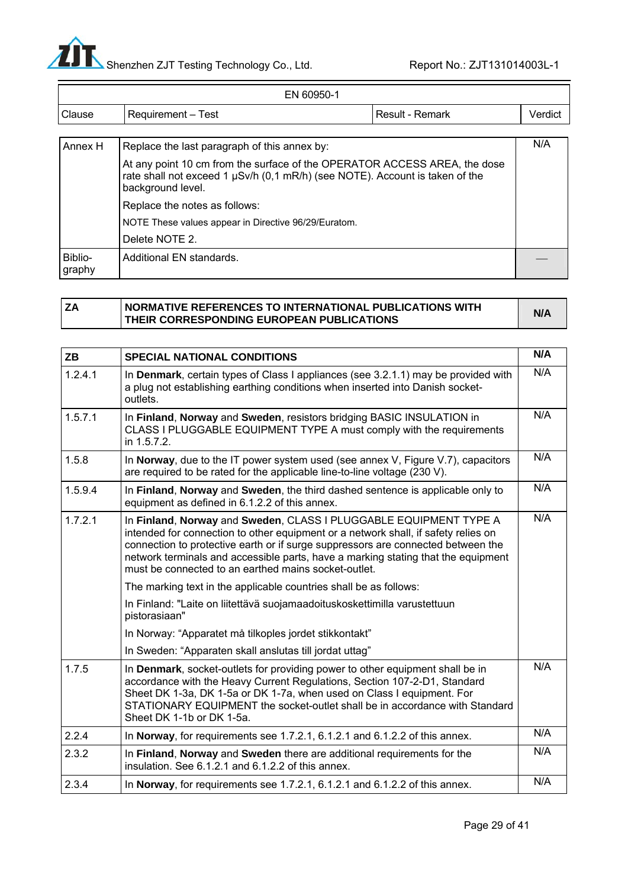

Ξ

| EN 60950-1        |                                                                                                                                                                                |  |         |  |
|-------------------|--------------------------------------------------------------------------------------------------------------------------------------------------------------------------------|--|---------|--|
| Clause            | Requirement - Test<br>Result - Remark                                                                                                                                          |  | Verdict |  |
|                   |                                                                                                                                                                                |  |         |  |
| Annex H           | Replace the last paragraph of this annex by:                                                                                                                                   |  | N/A     |  |
|                   | At any point 10 cm from the surface of the OPERATOR ACCESS AREA, the dose<br>rate shall not exceed 1 µSv/h (0,1 mR/h) (see NOTE). Account is taken of the<br>background level. |  |         |  |
|                   | Replace the notes as follows:                                                                                                                                                  |  |         |  |
|                   | NOTE These values appear in Directive 96/29/Euratom.                                                                                                                           |  |         |  |
|                   | Delete NOTE 2.                                                                                                                                                                 |  |         |  |
| Biblio-<br>graphy | Additional EN standards.                                                                                                                                                       |  |         |  |

| NORMATIVE REFERENCES TO INTERNATIONAL PUBLICATIONS WITH | N/A |
|---------------------------------------------------------|-----|
| THEIR CORRESPONDING EUROPEAN PUBLICATIONS               |     |

| <b>ZB</b> | <b>SPECIAL NATIONAL CONDITIONS</b>                                                                                                                                                                                                                                                                                                                                                       | N/A |
|-----------|------------------------------------------------------------------------------------------------------------------------------------------------------------------------------------------------------------------------------------------------------------------------------------------------------------------------------------------------------------------------------------------|-----|
| 1.2.4.1   | In Denmark, certain types of Class I appliances (see 3.2.1.1) may be provided with<br>a plug not establishing earthing conditions when inserted into Danish socket-<br>outlets.                                                                                                                                                                                                          | N/A |
| 1.5.7.1   | In Finland, Norway and Sweden, resistors bridging BASIC INSULATION in<br>CLASS I PLUGGABLE EQUIPMENT TYPE A must comply with the requirements<br>in 1.5.7.2.                                                                                                                                                                                                                             | N/A |
| 1.5.8     | In Norway, due to the IT power system used (see annex V, Figure V.7), capacitors<br>are required to be rated for the applicable line-to-line voltage (230 V).                                                                                                                                                                                                                            | N/A |
| 1.5.9.4   | In Finland, Norway and Sweden, the third dashed sentence is applicable only to<br>equipment as defined in 6.1.2.2 of this annex.                                                                                                                                                                                                                                                         | N/A |
| 1.7.2.1   | In Finland, Norway and Sweden, CLASS I PLUGGABLE EQUIPMENT TYPE A<br>intended for connection to other equipment or a network shall, if safety relies on<br>connection to protective earth or if surge suppressors are connected between the<br>network terminals and accessible parts, have a marking stating that the equipment<br>must be connected to an earthed mains socket-outlet. | N/A |
|           | The marking text in the applicable countries shall be as follows:                                                                                                                                                                                                                                                                                                                        |     |
|           | In Finland: "Laite on liitettävä suojamaadoituskoskettimilla varustettuun<br>pistorasiaan"                                                                                                                                                                                                                                                                                               |     |
|           | In Norway: "Apparatet må tilkoples jordet stikkontakt"                                                                                                                                                                                                                                                                                                                                   |     |
|           | In Sweden: "Apparaten skall anslutas till jordat uttag"                                                                                                                                                                                                                                                                                                                                  |     |
| 1.7.5     | In <b>Denmark</b> , socket-outlets for providing power to other equipment shall be in<br>accordance with the Heavy Current Regulations, Section 107-2-D1, Standard<br>Sheet DK 1-3a, DK 1-5a or DK 1-7a, when used on Class I equipment. For<br>STATIONARY EQUIPMENT the socket-outlet shall be in accordance with Standard<br>Sheet DK 1-1b or DK 1-5a.                                 | N/A |
| 2.2.4     | In Norway, for requirements see 1.7.2.1, 6.1.2.1 and 6.1.2.2 of this annex.                                                                                                                                                                                                                                                                                                              | N/A |
| 2.3.2     | In Finland, Norway and Sweden there are additional requirements for the<br>insulation. See 6.1.2.1 and 6.1.2.2 of this annex.                                                                                                                                                                                                                                                            | N/A |
| 2.3.4     | In Norway, for requirements see 1.7.2.1, 6.1.2.1 and 6.1.2.2 of this annex.                                                                                                                                                                                                                                                                                                              | N/A |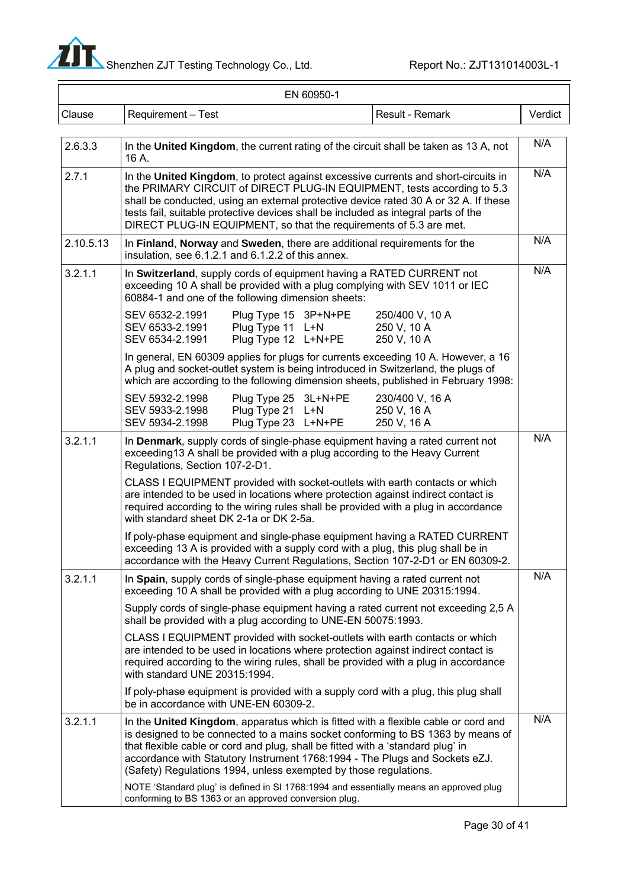

-

| EN 60950-1 |                                                                                                                                                                                                                                                                                                                                                                                                                   |         |  |  |  |  |
|------------|-------------------------------------------------------------------------------------------------------------------------------------------------------------------------------------------------------------------------------------------------------------------------------------------------------------------------------------------------------------------------------------------------------------------|---------|--|--|--|--|
| Clause     | Requirement - Test<br>Result - Remark                                                                                                                                                                                                                                                                                                                                                                             | Verdict |  |  |  |  |
| 2.6.3.3    | In the United Kingdom, the current rating of the circuit shall be taken as 13 A, not<br>16 A.                                                                                                                                                                                                                                                                                                                     | N/A     |  |  |  |  |
| 2.7.1      | In the United Kingdom, to protect against excessive currents and short-circuits in<br>the PRIMARY CIRCUIT of DIRECT PLUG-IN EQUIPMENT, tests according to 5.3<br>shall be conducted, using an external protective device rated 30 A or 32 A. If these<br>tests fail, suitable protective devices shall be included as integral parts of the<br>DIRECT PLUG-IN EQUIPMENT, so that the requirements of 5.3 are met. | N/A     |  |  |  |  |
| 2.10.5.13  | In Finland, Norway and Sweden, there are additional requirements for the<br>insulation, see 6.1.2.1 and 6.1.2.2 of this annex.                                                                                                                                                                                                                                                                                    | N/A     |  |  |  |  |
| 3.2.1.1    | In Switzerland, supply cords of equipment having a RATED CURRENT not<br>exceeding 10 A shall be provided with a plug complying with SEV 1011 or IEC<br>60884-1 and one of the following dimension sheets:                                                                                                                                                                                                         | N/A     |  |  |  |  |
|            | SEV 6532-2.1991<br>Plug Type 15 3P+N+PE<br>250/400 V, 10 A<br>Plug Type 11 L+N<br>SEV 6533-2.1991<br>250 V, 10 A<br>Plug Type 12 L+N+PE<br>250 V, 10 A<br>SEV 6534-2.1991                                                                                                                                                                                                                                         |         |  |  |  |  |
|            | In general, EN 60309 applies for plugs for currents exceeding 10 A. However, a 16<br>A plug and socket-outlet system is being introduced in Switzerland, the plugs of<br>which are according to the following dimension sheets, published in February 1998:                                                                                                                                                       |         |  |  |  |  |
|            | SEV 5932-2.1998<br>Plug Type 25 3L+N+PE<br>230/400 V, 16 A<br>SEV 5933-2.1998<br>Plug Type 21 L+N<br>250 V, 16 A<br>Plug Type 23 L+N+PE<br>SEV 5934-2.1998<br>250 V, 16 A                                                                                                                                                                                                                                         |         |  |  |  |  |
| 3.2.1.1    | In Denmark, supply cords of single-phase equipment having a rated current not<br>exceeding13 A shall be provided with a plug according to the Heavy Current<br>Regulations, Section 107-2-D1.                                                                                                                                                                                                                     | N/A     |  |  |  |  |
|            | CLASS I EQUIPMENT provided with socket-outlets with earth contacts or which<br>are intended to be used in locations where protection against indirect contact is<br>required according to the wiring rules shall be provided with a plug in accordance<br>with standard sheet DK 2-1a or DK 2-5a.                                                                                                                 |         |  |  |  |  |
|            | If poly-phase equipment and single-phase equipment having a RATED CURRENT<br>exceeding 13 A is provided with a supply cord with a plug, this plug shall be in<br>accordance with the Heavy Current Regulations, Section 107-2-D1 or EN 60309-2.                                                                                                                                                                   |         |  |  |  |  |
| 3.2.1.1    | In Spain, supply cords of single-phase equipment having a rated current not<br>exceeding 10 A shall be provided with a plug according to UNE 20315:1994.                                                                                                                                                                                                                                                          | N/A     |  |  |  |  |
|            | Supply cords of single-phase equipment having a rated current not exceeding 2,5 A<br>shall be provided with a plug according to UNE-EN 50075:1993.                                                                                                                                                                                                                                                                |         |  |  |  |  |
|            | CLASS I EQUIPMENT provided with socket-outlets with earth contacts or which<br>are intended to be used in locations where protection against indirect contact is<br>required according to the wiring rules, shall be provided with a plug in accordance<br>with standard UNE 20315:1994.                                                                                                                          |         |  |  |  |  |
|            | If poly-phase equipment is provided with a supply cord with a plug, this plug shall<br>be in accordance with UNE-EN 60309-2.                                                                                                                                                                                                                                                                                      |         |  |  |  |  |
| 3.2.1.1    | In the United Kingdom, apparatus which is fitted with a flexible cable or cord and<br>is designed to be connected to a mains socket conforming to BS 1363 by means of<br>that flexible cable or cord and plug, shall be fitted with a 'standard plug' in<br>accordance with Statutory Instrument 1768:1994 - The Plugs and Sockets eZJ.<br>(Safety) Regulations 1994, unless exempted by those regulations.       | N/A     |  |  |  |  |
|            | NOTE 'Standard plug' is defined in SI 1768:1994 and essentially means an approved plug<br>conforming to BS 1363 or an approved conversion plug.                                                                                                                                                                                                                                                                   |         |  |  |  |  |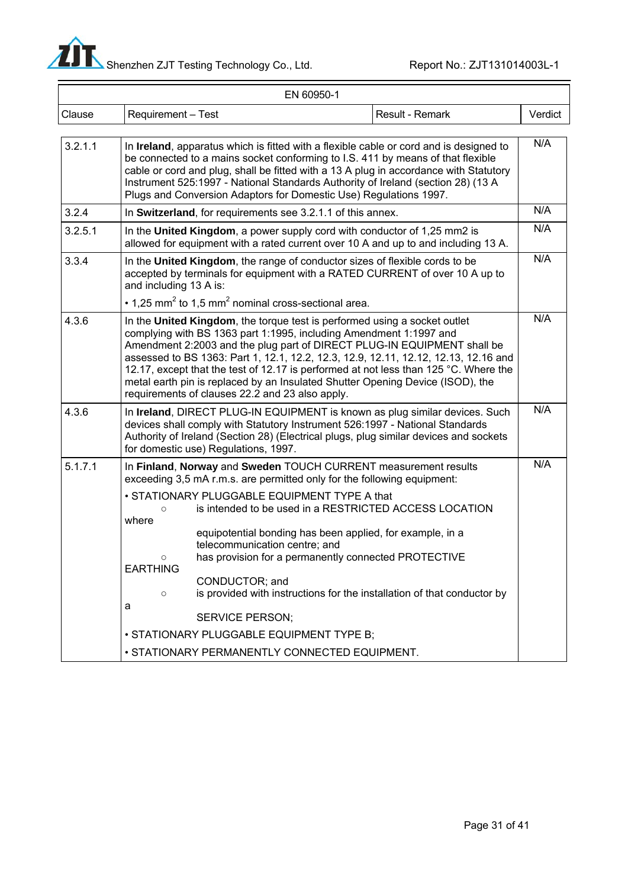

—

| EN 60950-1 |                                                                |                                                                                                                                                                                                                                                                                                                                                                                                                                          |  |                                                                                                                                                                                                                                                                                                                                                        |         |  |
|------------|----------------------------------------------------------------|------------------------------------------------------------------------------------------------------------------------------------------------------------------------------------------------------------------------------------------------------------------------------------------------------------------------------------------------------------------------------------------------------------------------------------------|--|--------------------------------------------------------------------------------------------------------------------------------------------------------------------------------------------------------------------------------------------------------------------------------------------------------------------------------------------------------|---------|--|
| Clause     | Requirement - Test                                             |                                                                                                                                                                                                                                                                                                                                                                                                                                          |  | Result - Remark                                                                                                                                                                                                                                                                                                                                        | Verdict |  |
| 3.2.1.1    |                                                                | Plugs and Conversion Adaptors for Domestic Use) Regulations 1997.                                                                                                                                                                                                                                                                                                                                                                        |  | In Ireland, apparatus which is fitted with a flexible cable or cord and is designed to<br>be connected to a mains socket conforming to I.S. 411 by means of that flexible<br>cable or cord and plug, shall be fitted with a 13 A plug in accordance with Statutory<br>Instrument 525:1997 - National Standards Authority of Ireland (section 28) (13 A | N/A     |  |
| 3.2.4      |                                                                | In Switzerland, for requirements see 3.2.1.1 of this annex.                                                                                                                                                                                                                                                                                                                                                                              |  |                                                                                                                                                                                                                                                                                                                                                        | N/A     |  |
| 3.2.5.1    |                                                                | In the United Kingdom, a power supply cord with conductor of 1,25 mm2 is                                                                                                                                                                                                                                                                                                                                                                 |  | allowed for equipment with a rated current over 10 A and up to and including 13 A.                                                                                                                                                                                                                                                                     | N/A     |  |
| 3.3.4      | and including 13 A is:                                         | In the United Kingdom, the range of conductor sizes of flexible cords to be<br>$\cdot$ 1,25 mm <sup>2</sup> to 1,5 mm <sup>2</sup> nominal cross-sectional area.                                                                                                                                                                                                                                                                         |  | accepted by terminals for equipment with a RATED CURRENT of over 10 A up to                                                                                                                                                                                                                                                                            | N/A     |  |
| 4.3.6      |                                                                | In the United Kingdom, the torque test is performed using a socket outlet<br>complying with BS 1363 part 1:1995, including Amendment 1:1997 and<br>metal earth pin is replaced by an Insulated Shutter Opening Device (ISOD), the<br>requirements of clauses 22.2 and 23 also apply.                                                                                                                                                     |  | Amendment 2:2003 and the plug part of DIRECT PLUG-IN EQUIPMENT shall be<br>assessed to BS 1363: Part 1, 12.1, 12.2, 12.3, 12.9, 12.11, 12.12, 12.13, 12.16 and<br>12.17, except that the test of 12.17 is performed at not less than 125 °C. Where the                                                                                                 | N/A     |  |
| 4.3.6      |                                                                | devices shall comply with Statutory Instrument 526:1997 - National Standards<br>for domestic use) Regulations, 1997.                                                                                                                                                                                                                                                                                                                     |  | In Ireland, DIRECT PLUG-IN EQUIPMENT is known as plug similar devices. Such<br>Authority of Ireland (Section 28) (Electrical plugs, plug similar devices and sockets                                                                                                                                                                                   | N/A     |  |
| 5.1.7.1    | $\circ$<br>where<br>$\circ$<br><b>EARTHING</b><br>$\circ$<br>a | In Finland, Norway and Sweden TOUCH CURRENT measurement results<br>exceeding 3,5 mA r.m.s. are permitted only for the following equipment:<br>• STATIONARY PLUGGABLE EQUIPMENT TYPE A that<br>equipotential bonding has been applied, for example, in a<br>telecommunication centre; and<br>has provision for a permanently connected PROTECTIVE<br>CONDUCTOR; and<br><b>SERVICE PERSON;</b><br>· STATIONARY PLUGGABLE EQUIPMENT TYPE B; |  | is intended to be used in a RESTRICTED ACCESS LOCATION<br>is provided with instructions for the installation of that conductor by                                                                                                                                                                                                                      | N/A     |  |
|            |                                                                | · STATIONARY PERMANENTLY CONNECTED EQUIPMENT.                                                                                                                                                                                                                                                                                                                                                                                            |  |                                                                                                                                                                                                                                                                                                                                                        |         |  |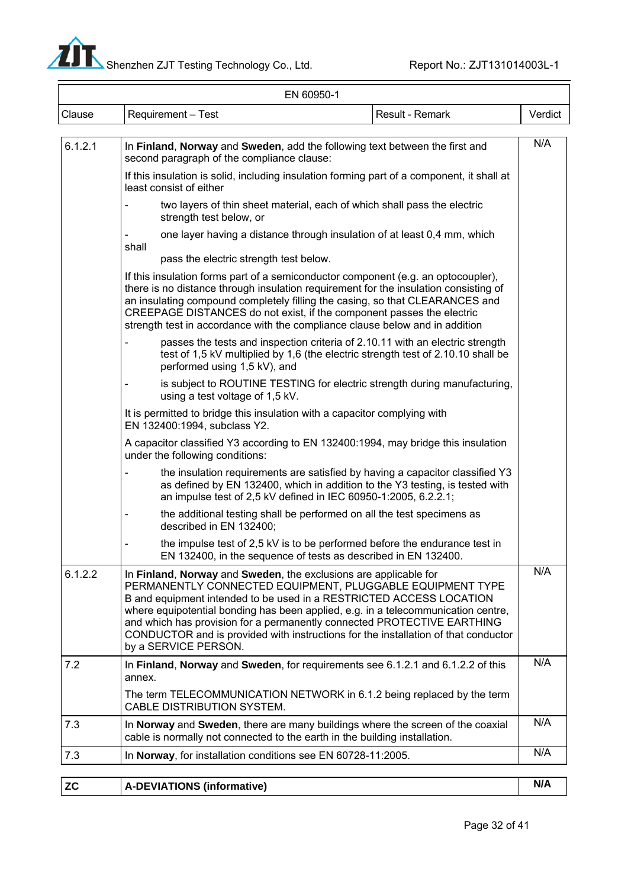

| EN 60950-1 |                                                                                                                                                                                                                                                                                                                                                                                                                                                                                    |         |  |  |  |
|------------|------------------------------------------------------------------------------------------------------------------------------------------------------------------------------------------------------------------------------------------------------------------------------------------------------------------------------------------------------------------------------------------------------------------------------------------------------------------------------------|---------|--|--|--|
| Clause     | Result - Remark<br>Requirement - Test                                                                                                                                                                                                                                                                                                                                                                                                                                              | Verdict |  |  |  |
| 6.1.2.1    | In Finland, Norway and Sweden, add the following text between the first and<br>second paragraph of the compliance clause:                                                                                                                                                                                                                                                                                                                                                          | N/A     |  |  |  |
|            | If this insulation is solid, including insulation forming part of a component, it shall at<br>least consist of either                                                                                                                                                                                                                                                                                                                                                              |         |  |  |  |
|            | two layers of thin sheet material, each of which shall pass the electric<br>strength test below, or                                                                                                                                                                                                                                                                                                                                                                                |         |  |  |  |
|            | one layer having a distance through insulation of at least 0,4 mm, which<br>shall<br>pass the electric strength test below.                                                                                                                                                                                                                                                                                                                                                        |         |  |  |  |
|            | If this insulation forms part of a semiconductor component (e.g. an optocoupler),<br>there is no distance through insulation requirement for the insulation consisting of<br>an insulating compound completely filling the casing, so that CLEARANCES and<br>CREEPAGE DISTANCES do not exist, if the component passes the electric<br>strength test in accordance with the compliance clause below and in addition                                                                 |         |  |  |  |
|            | passes the tests and inspection criteria of 2.10.11 with an electric strength<br>test of 1,5 kV multiplied by 1,6 (the electric strength test of 2.10.10 shall be<br>performed using 1,5 kV), and                                                                                                                                                                                                                                                                                  |         |  |  |  |
|            | is subject to ROUTINE TESTING for electric strength during manufacturing,<br>$\overline{\phantom{0}}$<br>using a test voltage of 1,5 kV.                                                                                                                                                                                                                                                                                                                                           |         |  |  |  |
|            | It is permitted to bridge this insulation with a capacitor complying with<br>EN 132400:1994, subclass Y2.                                                                                                                                                                                                                                                                                                                                                                          |         |  |  |  |
|            | A capacitor classified Y3 according to EN 132400:1994, may bridge this insulation<br>under the following conditions:                                                                                                                                                                                                                                                                                                                                                               |         |  |  |  |
|            | the insulation requirements are satisfied by having a capacitor classified Y3<br>as defined by EN 132400, which in addition to the Y3 testing, is tested with<br>an impulse test of 2,5 kV defined in IEC 60950-1:2005, 6.2.2.1;                                                                                                                                                                                                                                                   |         |  |  |  |
|            | the additional testing shall be performed on all the test specimens as<br>described in EN 132400;                                                                                                                                                                                                                                                                                                                                                                                  |         |  |  |  |
|            | the impulse test of 2,5 kV is to be performed before the endurance test in<br>$\overline{\phantom{0}}$<br>EN 132400, in the sequence of tests as described in EN 132400.                                                                                                                                                                                                                                                                                                           |         |  |  |  |
| 6.1.2.2    | In Finland, Norway and Sweden, the exclusions are applicable for<br>PERMANENTLY CONNECTED EQUIPMENT, PLUGGABLE EQUIPMENT TYPE<br>B and equipment intended to be used in a RESTRICTED ACCESS LOCATION<br>where equipotential bonding has been applied, e.g. in a telecommunication centre,<br>and which has provision for a permanently connected PROTECTIVE EARTHING<br>CONDUCTOR and is provided with instructions for the installation of that conductor<br>by a SERVICE PERSON. | N/A     |  |  |  |
| 7.2        | In Finland, Norway and Sweden, for requirements see 6.1.2.1 and 6.1.2.2 of this<br>annex.                                                                                                                                                                                                                                                                                                                                                                                          | N/A     |  |  |  |
|            | The term TELECOMMUNICATION NETWORK in 6.1.2 being replaced by the term<br>CABLE DISTRIBUTION SYSTEM.                                                                                                                                                                                                                                                                                                                                                                               |         |  |  |  |
| 7.3        | In Norway and Sweden, there are many buildings where the screen of the coaxial<br>cable is normally not connected to the earth in the building installation.                                                                                                                                                                                                                                                                                                                       | N/A     |  |  |  |
| 7.3        | In Norway, for installation conditions see EN 60728-11:2005.                                                                                                                                                                                                                                                                                                                                                                                                                       | N/A     |  |  |  |

A-DEVIATIONS (informative) N/A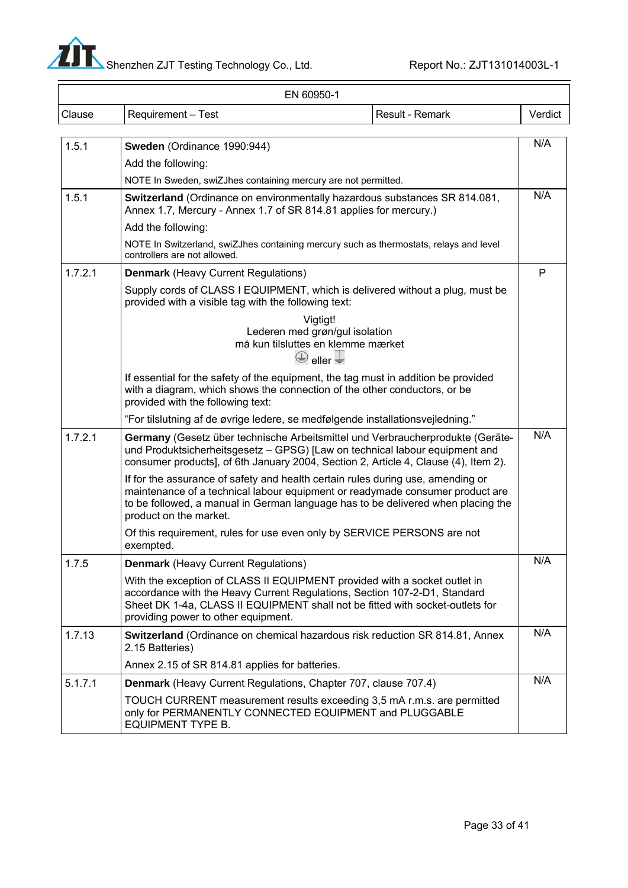

-

| EN 60950-1 |                                                                                                                                                                                                                                                                                |  |         |  |  |  |
|------------|--------------------------------------------------------------------------------------------------------------------------------------------------------------------------------------------------------------------------------------------------------------------------------|--|---------|--|--|--|
| Clause     | Requirement - Test<br>Result - Remark                                                                                                                                                                                                                                          |  | Verdict |  |  |  |
|            |                                                                                                                                                                                                                                                                                |  |         |  |  |  |
| 1.5.1      | Sweden (Ordinance 1990:944)                                                                                                                                                                                                                                                    |  | N/A     |  |  |  |
|            | Add the following:                                                                                                                                                                                                                                                             |  |         |  |  |  |
|            | NOTE In Sweden, swiZJhes containing mercury are not permitted.                                                                                                                                                                                                                 |  |         |  |  |  |
| 1.5.1      | Switzerland (Ordinance on environmentally hazardous substances SR 814.081,<br>Annex 1.7, Mercury - Annex 1.7 of SR 814.81 applies for mercury.)                                                                                                                                |  | N/A     |  |  |  |
|            | Add the following:                                                                                                                                                                                                                                                             |  |         |  |  |  |
|            | NOTE In Switzerland, swiZJhes containing mercury such as thermostats, relays and level<br>controllers are not allowed.                                                                                                                                                         |  |         |  |  |  |
| 1.7.2.1    | <b>Denmark</b> (Heavy Current Regulations)                                                                                                                                                                                                                                     |  | P       |  |  |  |
|            | Supply cords of CLASS I EQUIPMENT, which is delivered without a plug, must be<br>provided with a visible tag with the following text:                                                                                                                                          |  |         |  |  |  |
|            | Vigtigt!<br>Lederen med grøn/gul isolation<br>må kun tilsluttes en klemme mærket<br>$\bigoplus$ eller $\biguplus$                                                                                                                                                              |  |         |  |  |  |
|            | If essential for the safety of the equipment, the tag must in addition be provided<br>with a diagram, which shows the connection of the other conductors, or be<br>provided with the following text:                                                                           |  |         |  |  |  |
|            | "For tilslutning af de øvrige ledere, se medfølgende installationsvejledning."                                                                                                                                                                                                 |  |         |  |  |  |
| 1.7.2.1    | Germany (Gesetz über technische Arbeitsmittel und Verbraucherprodukte (Geräte-<br>und Produktsicherheitsgesetz - GPSG) [Law on technical labour equipment and<br>consumer products], of 6th January 2004, Section 2, Article 4, Clause (4), Item 2).                           |  | N/A     |  |  |  |
|            | If for the assurance of safety and health certain rules during use, amending or<br>maintenance of a technical labour equipment or readymade consumer product are<br>to be followed, a manual in German language has to be delivered when placing the<br>product on the market. |  |         |  |  |  |
|            | Of this requirement, rules for use even only by SERVICE PERSONS are not<br>exempted.                                                                                                                                                                                           |  |         |  |  |  |
| 1.7.5      | <b>Denmark (Heavy Current Regulations)</b>                                                                                                                                                                                                                                     |  | N/A     |  |  |  |
|            | With the exception of CLASS II EQUIPMENT provided with a socket outlet in<br>accordance with the Heavy Current Regulations, Section 107-2-D1, Standard<br>Sheet DK 1-4a, CLASS II EQUIPMENT shall not be fitted with socket-outlets for<br>providing power to other equipment. |  |         |  |  |  |
| 1.7.13     | Switzerland (Ordinance on chemical hazardous risk reduction SR 814.81, Annex<br>2.15 Batteries)                                                                                                                                                                                |  | N/A     |  |  |  |
|            | Annex 2.15 of SR 814.81 applies for batteries.                                                                                                                                                                                                                                 |  |         |  |  |  |
| 5.1.7.1    | Denmark (Heavy Current Regulations, Chapter 707, clause 707.4)                                                                                                                                                                                                                 |  | N/A     |  |  |  |
|            | TOUCH CURRENT measurement results exceeding 3,5 mA r.m.s. are permitted<br>only for PERMANENTLY CONNECTED EQUIPMENT and PLUGGABLE<br><b>EQUIPMENT TYPE B.</b>                                                                                                                  |  |         |  |  |  |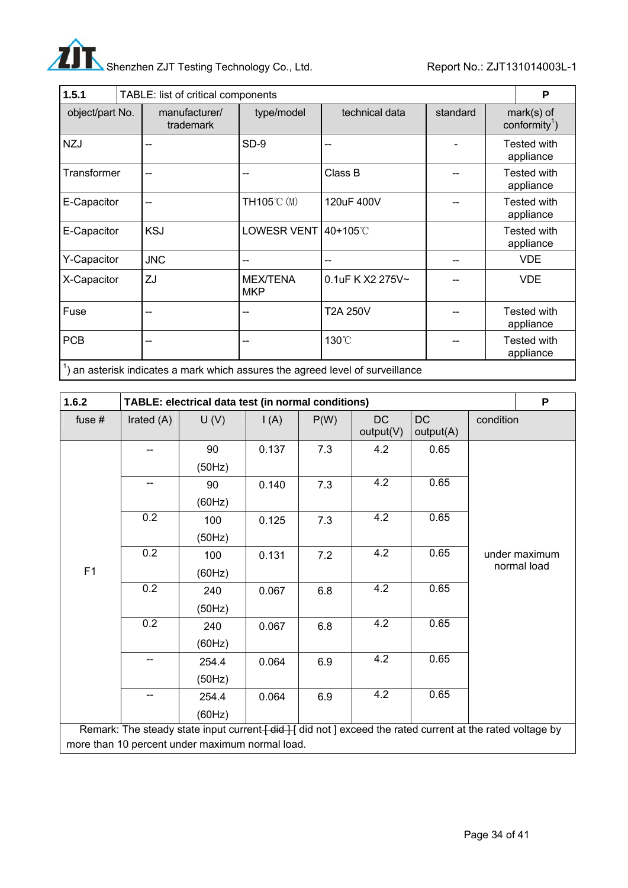

| 1.5.1           |                            | TABLE: list of critical components |                                                                                         |          |  |                                           |  |
|-----------------|----------------------------|------------------------------------|-----------------------------------------------------------------------------------------|----------|--|-------------------------------------------|--|
| object/part No. | manufacturer/<br>trademark | type/model                         | technical data                                                                          | standard |  | $mark(s)$ of<br>conformity <sup>1</sup> ) |  |
| <b>NZJ</b>      | --                         | SD-9                               | --                                                                                      |          |  | <b>Tested with</b><br>appliance           |  |
| Transformer     |                            |                                    | Class B                                                                                 |          |  | <b>Tested with</b><br>appliance           |  |
| E-Capacitor     |                            | TH105℃ (M)                         | 120uF 400V                                                                              |          |  | <b>Tested with</b><br>appliance           |  |
| E-Capacitor     | <b>KSJ</b>                 | LOWESR VENT 40+105℃                |                                                                                         |          |  | <b>Tested with</b><br>appliance           |  |
| Y-Capacitor     | <b>JNC</b>                 |                                    |                                                                                         |          |  | <b>VDE</b>                                |  |
| X-Capacitor     | ZJ                         | <b>MEX/TENA</b><br><b>MKP</b>      | 0.1uF K X2 275V~                                                                        |          |  | <b>VDE</b>                                |  |
| Fuse            |                            |                                    | <b>T2A 250V</b>                                                                         |          |  | <b>Tested with</b><br>appliance           |  |
| <b>PCB</b>      | --                         | --                                 | 130°C                                                                                   |          |  | <b>Tested with</b><br>appliance           |  |
|                 |                            |                                    | $\frac{1}{2}$ on optomok indicates a mark which convex the careed lovel of our villages |          |  |                                           |  |

| $\vert$ ) an asterisk indicates a mark which assures the agreed level of surveillance |  |  |
|---------------------------------------------------------------------------------------|--|--|
|                                                                                       |  |  |

| 1.6.2    |            | TABLE: electrical data test (in normal conditions)                                                        |                 |      |                        |                        |           | P             |
|----------|------------|-----------------------------------------------------------------------------------------------------------|-----------------|------|------------------------|------------------------|-----------|---------------|
| fuse $#$ | Irated (A) | U(V)                                                                                                      | $\mathsf{I}(A)$ | P(W) | <b>DC</b><br>output(V) | <b>DC</b><br>output(A) | condition |               |
|          |            | 90                                                                                                        | 0.137           | 7.3  | 4.2                    | 0.65                   |           |               |
|          |            | (50Hz)                                                                                                    |                 |      |                        |                        |           |               |
|          | --         | 90                                                                                                        | 0.140           | 7.3  | 4.2                    | 0.65                   |           |               |
|          |            | (60Hz)                                                                                                    |                 |      |                        |                        |           |               |
|          | 0.2        | 100                                                                                                       | 0.125           | 7.3  | 4.2                    | 0.65                   |           |               |
|          |            | (50Hz)                                                                                                    |                 |      |                        |                        |           |               |
|          | 0.2        | 100                                                                                                       | 0.131           | 7.2  | 4.2                    | 0.65                   |           | under maximum |
| F1       |            | (60Hz)                                                                                                    |                 |      |                        |                        |           | normal load   |
|          | 0.2        | 240                                                                                                       | 0.067           | 6.8  | 4.2                    | 0.65                   |           |               |
|          |            | (50Hz)                                                                                                    |                 |      |                        |                        |           |               |
|          | 0.2        | 240                                                                                                       | 0.067           | 6.8  | 4.2                    | 0.65                   |           |               |
|          |            | (60Hz)                                                                                                    |                 |      |                        |                        |           |               |
|          | --         | 254.4                                                                                                     | 0.064           | 6.9  | 4.2                    | 0.65                   |           |               |
|          |            | (50Hz)                                                                                                    |                 |      |                        |                        |           |               |
|          | --         | 254.4                                                                                                     | 0.064           | 6.9  | 4.2                    | 0.65                   |           |               |
|          |            | (60Hz)                                                                                                    |                 |      |                        |                        |           |               |
|          |            | Remark: The steady state input current [did ] [did not ] exceed the rated current at the rated voltage by |                 |      |                        |                        |           |               |
|          |            | more than 10 percent under maximum normal load.                                                           |                 |      |                        |                        |           |               |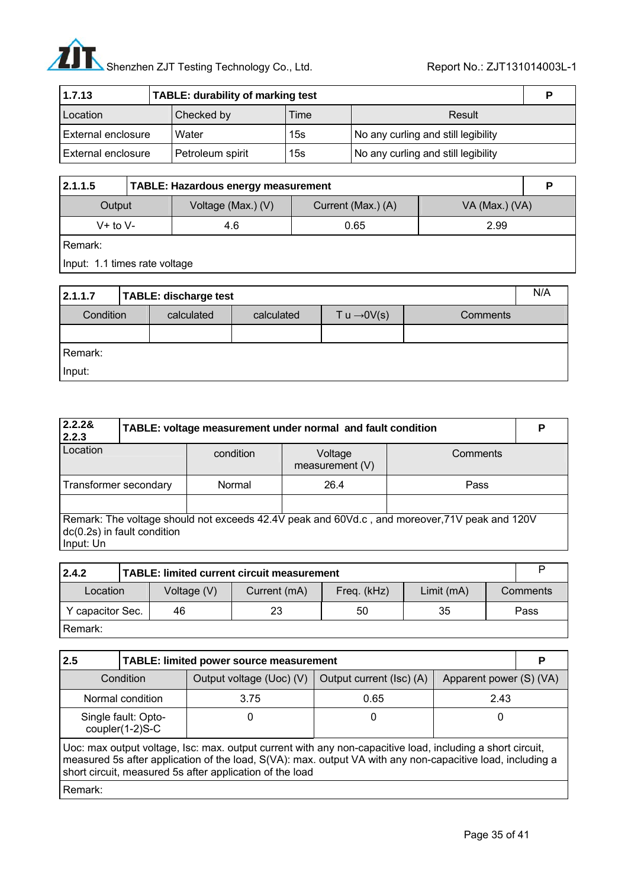# Shenzhen ZJT Testing Technology Co., Ltd. Report No.: ZJT131014003L-1

| 1.7.13                    | TABLE: durability of marking test |      |                                     |  |  |
|---------------------------|-----------------------------------|------|-------------------------------------|--|--|
| Location                  | Checked by                        | Time | Result                              |  |  |
| <b>External enclosure</b> | Water                             | 15s  | No any curling and still legibility |  |  |
| External enclosure        | Petroleum spirit                  | 15s  | No any curling and still legibility |  |  |

| 2.1.1.5      | TABLE: Hazardous energy measurement |                    |                    |                |  |  |
|--------------|-------------------------------------|--------------------|--------------------|----------------|--|--|
| Output       |                                     | Voltage (Max.) (V) | Current (Max.) (A) | VA (Max.) (VA) |  |  |
| $V+$ to $V-$ |                                     | 4.6                | 0.65               | 2.99           |  |  |
| Remark:      |                                     |                    |                    |                |  |  |

Input: 1.1 times rate voltage

| 2.1.1.7<br>TABLE: discharge test |  |            |            |                         |          |  |  |
|----------------------------------|--|------------|------------|-------------------------|----------|--|--|
| Condition                        |  | calculated | calculated | T u $\rightarrow$ 0V(s) | Comments |  |  |
|                                  |  |            |            |                         |          |  |  |
| Remark:                          |  |            |            |                         |          |  |  |
| Input:                           |  |            |            |                         |          |  |  |

| 2.2.28<br>2.2.3                                                                                                                           | TABLE: voltage measurement under normal and fault condition |           |                            |          |  |  |  |
|-------------------------------------------------------------------------------------------------------------------------------------------|-------------------------------------------------------------|-----------|----------------------------|----------|--|--|--|
| Location                                                                                                                                  |                                                             | condition | Voltage<br>measurement (V) | Comments |  |  |  |
| Transformer secondary                                                                                                                     |                                                             | Normal    | 26.4                       | Pass     |  |  |  |
|                                                                                                                                           |                                                             |           |                            |          |  |  |  |
| Remark: The voltage should not exceeds 42.4V peak and 60Vd.c, and moreover, 71V peak and 120V<br>dc(0.2s) in fault condition<br>Input: Un |                                                             |           |                            |          |  |  |  |

| 2.4.2                                                                |  | TABLE: limited current circuit measurement |    |    |          |  |      |  |  |  |
|----------------------------------------------------------------------|--|--------------------------------------------|----|----|----------|--|------|--|--|--|
| Current (mA)<br>Freq. (kHz)<br>Voltage (V)<br>Limit (mA)<br>Location |  |                                            |    |    | Comments |  |      |  |  |  |
| Y capacitor Sec.<br>46                                               |  |                                            | 23 | 50 | 35       |  | Pass |  |  |  |
| Remark:                                                              |  |                                            |    |    |          |  |      |  |  |  |

| 2.5                                                                                                                                                                                                                                                                                  | TABLE: limited power source measurement |                          |                          |                         |  |  |  |  |
|--------------------------------------------------------------------------------------------------------------------------------------------------------------------------------------------------------------------------------------------------------------------------------------|-----------------------------------------|--------------------------|--------------------------|-------------------------|--|--|--|--|
|                                                                                                                                                                                                                                                                                      | Condition                               | Output voltage (Uoc) (V) | Output current (Isc) (A) | Apparent power (S) (VA) |  |  |  |  |
|                                                                                                                                                                                                                                                                                      | Normal condition                        | 3.75                     | 0.65                     | 2.43                    |  |  |  |  |
|                                                                                                                                                                                                                                                                                      | Single fault: Opto-<br>coupler(1-2)S-C  | O                        | 0                        | 0                       |  |  |  |  |
| Uoc: max output voltage, Isc: max. output current with any non-capacitive load, including a short circuit,<br>measured 5s after application of the load, S(VA): max. output VA with any non-capacitive load, including a<br>short circuit, measured 5s after application of the load |                                         |                          |                          |                         |  |  |  |  |
| Remark:                                                                                                                                                                                                                                                                              |                                         |                          |                          |                         |  |  |  |  |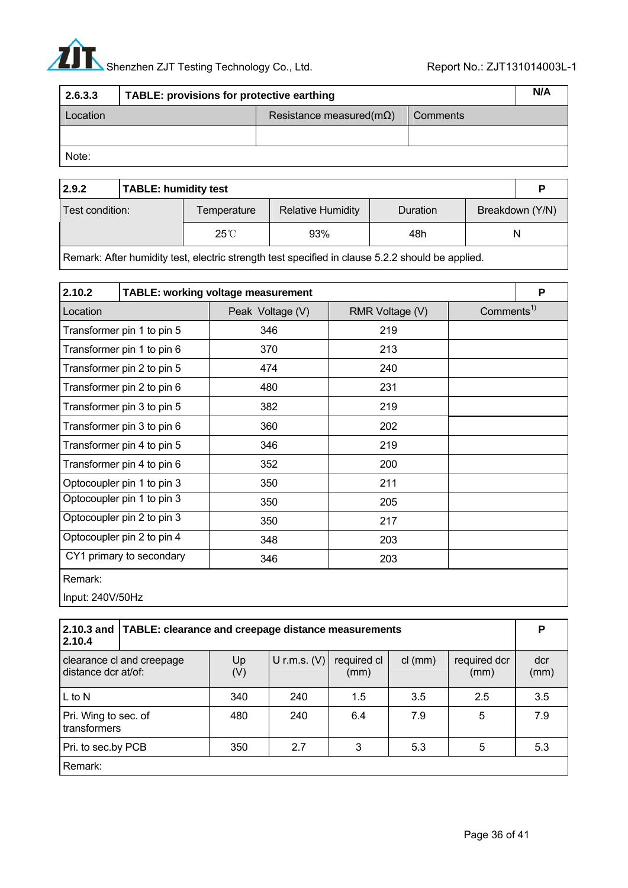# Shenzhen ZJT Testing Technology Co., Ltd. Report No.: ZJT131014003L-1

| 2.6.3.3  | TABLE: provisions for protective earthing |                                  |          |  |  |  |
|----------|-------------------------------------------|----------------------------------|----------|--|--|--|
| Location |                                           | Resistance measured( $m\Omega$ ) | Comments |  |  |  |
|          |                                           |                                  |          |  |  |  |
| Note:    |                                           |                                  |          |  |  |  |

| 2.9.2           | <b>TABLE: humidity test</b> |                |                          |          |  |                 |  |  |
|-----------------|-----------------------------|----------------|--------------------------|----------|--|-----------------|--|--|
| Test condition: |                             | Temperature    | <b>Relative Humidity</b> | Duration |  | Breakdown (Y/N) |  |  |
|                 |                             | $25^{\circ}$ C | 93%                      | 48h      |  | N               |  |  |

Remark: After humidity test, electric strength test specified in clause 5.2.2 should be applied.

| 2.10.2                     | TABLE: working voltage measurement |                  |                 |                        | P |
|----------------------------|------------------------------------|------------------|-----------------|------------------------|---|
| Location                   |                                    | Peak Voltage (V) | RMR Voltage (V) | Comments <sup>1)</sup> |   |
|                            | Transformer pin 1 to pin 5         | 346              | 219             |                        |   |
|                            | Transformer pin 1 to pin 6         | 370              | 213             |                        |   |
|                            | Transformer pin 2 to pin 5         | 474              | 240             |                        |   |
|                            | Transformer pin 2 to pin 6         | 480              | 231             |                        |   |
|                            | Transformer pin 3 to pin 5         | 382              | 219             |                        |   |
|                            | Transformer pin 3 to pin 6         | 360              | 202             |                        |   |
|                            | Transformer pin 4 to pin 5         | 346              | 219             |                        |   |
|                            | Transformer pin 4 to pin 6         | 352              | 200             |                        |   |
|                            | Optocoupler pin 1 to pin 3         | 350              | 211             |                        |   |
|                            | Optocoupler pin 1 to pin 3         | 350              | 205             |                        |   |
| Optocoupler pin 2 to pin 3 |                                    | 350              | 217             |                        |   |
|                            | Optocoupler pin 2 to pin 4         | 348              | 203             |                        |   |
|                            | CY1 primary to secondary           | 346              | 203             |                        |   |

Remark:

Input: 240V/50Hz

| 2.10.3 and<br>2.10.4                             | TABLE: clearance and creepage distance measurements |           |                |                     |           |                      |             |  |
|--------------------------------------------------|-----------------------------------------------------|-----------|----------------|---------------------|-----------|----------------------|-------------|--|
| clearance cl and creepage<br>distance dcr at/of: |                                                     | Up<br>(V) | U r.m.s. $(V)$ | required cl<br>(mm) | $cl$ (mm) | required dcr<br>(mm) | dcr<br>(mm) |  |
| $L$ to N                                         |                                                     | 340       | 240            | 1.5                 | 3.5       | 2.5                  | 3.5         |  |
| Pri. Wing to sec. of<br>transformers             |                                                     | 480       | 240            | 6.4                 | 7.9       | 5                    | 7.9         |  |
| Pri. to sec.by PCB                               |                                                     | 350       | 2.7            | 3                   | 5.3       | 5                    | 5.3         |  |
| Remark:                                          |                                                     |           |                |                     |           |                      |             |  |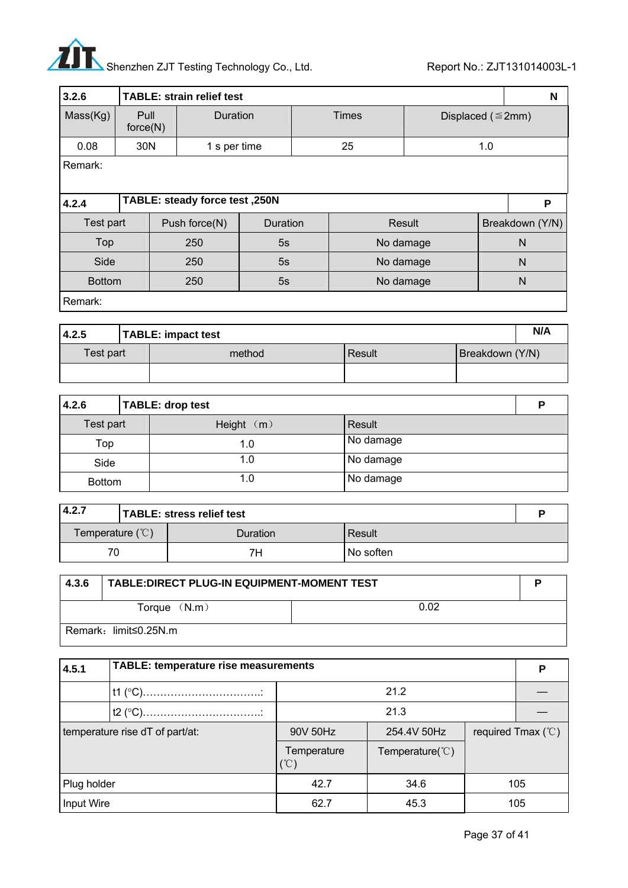# $\boldsymbol{A}$ Shenzhen ZJT Testing Technology Co., Ltd. Report No.: ZJT131014003L-1

| 3.2.6                          |                  |                                |          | <b>TABLE: strain relief test</b> |                         |     |                 |  |  |  |
|--------------------------------|------------------|--------------------------------|----------|----------------------------------|-------------------------|-----|-----------------|--|--|--|
| Mass(Kg)                       | Pull<br>force(N) | Duration                       |          | <b>Times</b>                     | Displaced ( $\leq$ 2mm) |     |                 |  |  |  |
| 0.08                           | 30N              | 1 s per time                   |          | 25                               |                         | 1.0 |                 |  |  |  |
| Remark:                        |                  |                                |          |                                  |                         |     |                 |  |  |  |
| 4.2.4                          |                  | TABLE: steady force test, 250N |          |                                  |                         |     | P               |  |  |  |
| Test part                      |                  | Push force(N)                  | Duration | <b>Result</b>                    |                         |     | Breakdown (Y/N) |  |  |  |
| Top                            |                  | 250                            | 5s       | No damage                        |                         | N   |                 |  |  |  |
| 5s<br>250<br>Side<br>No damage |                  |                                |          | N                                |                         |     |                 |  |  |  |
| <b>Bottom</b>                  |                  | 250                            | 5s       | No damage                        |                         |     | N               |  |  |  |
| Remark:                        |                  |                                |          |                                  |                         |     |                 |  |  |  |

| 4.2.5     |  | <b>TABLE: impact test</b> |        |                 |  |  |  |  |  |
|-----------|--|---------------------------|--------|-----------------|--|--|--|--|--|
| Test part |  | method                    | Result | Breakdown (Y/N) |  |  |  |  |  |
|           |  |                           |        |                 |  |  |  |  |  |

| 4.2.6         |  | <b>TABLE: drop test</b> |           |  |  |  |  |
|---------------|--|-------------------------|-----------|--|--|--|--|
| Test part     |  | Height $(m)$            | Result    |  |  |  |  |
| Top           |  | 1.0                     | No damage |  |  |  |  |
| Side          |  | 1.0                     | No damage |  |  |  |  |
| <b>Bottom</b> |  | 1.0                     | No damage |  |  |  |  |

| 4.2.7 |                                          | TABLE: stress relief test |           |  |  |  |  |  |
|-------|------------------------------------------|---------------------------|-----------|--|--|--|--|--|
|       | Temperature $(°C)$<br>Result<br>Duration |                           |           |  |  |  |  |  |
| 70    |                                          | 7Н                        | No soften |  |  |  |  |  |

| 4.3.6                  | TABLE: DIRECT PLUG-IN EQUIPMENT-MOMENT TEST |  |  |  |  |
|------------------------|---------------------------------------------|--|--|--|--|
| 0.02<br>Torque $(N.m)$ |                                             |  |  |  |  |
| Remark: limit≤0.25N.m  |                                             |  |  |  |  |

| 4.5.1                           | <b>TABLE: temperature rise measurements</b> |                    |                           |  |                      |
|---------------------------------|---------------------------------------------|--------------------|---------------------------|--|----------------------|
|                                 |                                             |                    | 21.2                      |  |                      |
|                                 |                                             |                    | 21.3                      |  |                      |
| temperature rise dT of part/at: |                                             | 90V 50Hz           | 254.4V 50Hz               |  | required Tmax $(°C)$ |
|                                 |                                             | Temperature<br>(C) | Temperature( $\degree$ C) |  |                      |
| Plug holder                     |                                             | 42.7               | 34.6                      |  | 105                  |
| Input Wire                      |                                             | 62.7               | 45.3                      |  | 105                  |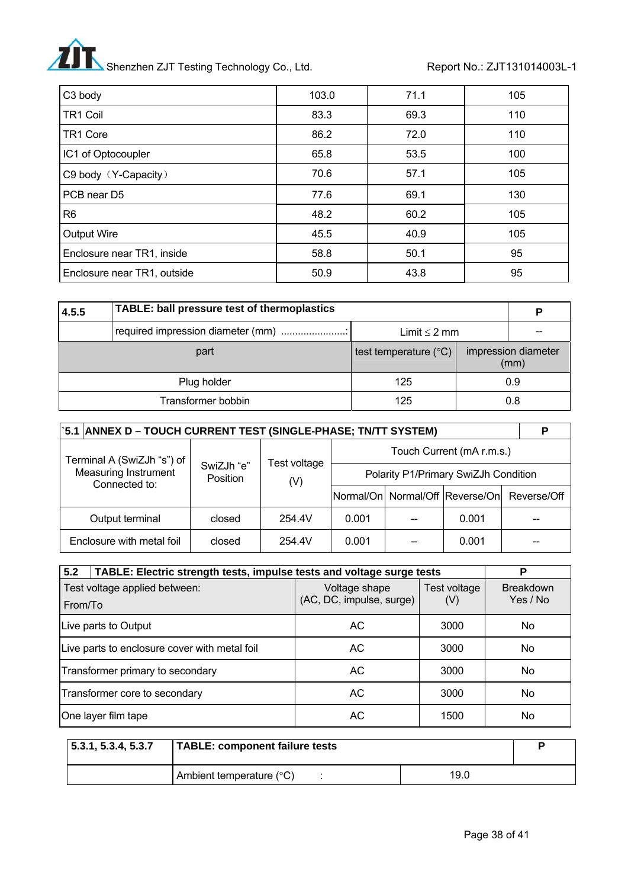# Shenzhen ZJT Testing Technology Co., Ltd. Report No.: ZJT131014003L-1

| C3 body                     | 103.0 | 71.1 | 105 |
|-----------------------------|-------|------|-----|
| TR1 Coil                    | 83.3  | 69.3 | 110 |
| TR1 Core                    | 86.2  | 72.0 | 110 |
| IC1 of Optocoupler          | 65.8  | 53.5 | 100 |
| C9 body (Y-Capacity)        | 70.6  | 57.1 | 105 |
| PCB near D5                 | 77.6  | 69.1 | 130 |
| R6                          | 48.2  | 60.2 | 105 |
| <b>Output Wire</b>          | 45.5  | 40.9 | 105 |
| Enclosure near TR1, inside  | 58.8  | 50.1 | 95  |
| Enclosure near TR1, outside | 50.9  | 43.8 | 95  |

| TABLE: ball pressure test of thermoplastics<br>4.5.5 |                    |                                |  |                             |
|------------------------------------------------------|--------------------|--------------------------------|--|-----------------------------|
|                                                      |                    | Limit $\leq 2$ mm              |  |                             |
|                                                      | part               | test temperature $(^{\circ}C)$ |  | impression diameter<br>(mm) |
|                                                      | Plug holder        | 125                            |  | 0.9                         |
|                                                      | Transformer bobbin | 125                            |  | 0.8                         |

| `5.1  ANNEX D – TOUCH CURRENT TEST (SINGLE-PHASE; TN/TT SYSTEM) |                        |                     |                                      |  |       |                                             |
|-----------------------------------------------------------------|------------------------|---------------------|--------------------------------------|--|-------|---------------------------------------------|
| Terminal A (SwiZJh "s") of                                      |                        |                     | Touch Current (mA r.m.s.)            |  |       |                                             |
| <b>Measuring Instrument</b><br>Connected to:                    | SwiZJh "e"<br>Position | Test voltage<br>(V) | Polarity P1/Primary SwiZJh Condition |  |       |                                             |
|                                                                 |                        |                     |                                      |  |       | Normal/On Normal/Off Reverse/On Reverse/Off |
| Output terminal                                                 | closed                 | 254.4V              | 0.001                                |  | 0.001 |                                             |
| Enclosure with metal foil                                       | closed                 | 254.4V              | 0.001                                |  | 0.001 |                                             |

| 5.2<br>TABLE: Electric strength tests, impulse tests and voltage surge tests | P                                         |                     |                              |
|------------------------------------------------------------------------------|-------------------------------------------|---------------------|------------------------------|
| Test voltage applied between:<br>From/To                                     | Voltage shape<br>(AC, DC, impulse, surge) | Test voltage<br>(V) | <b>Breakdown</b><br>Yes / No |
| Live parts to Output                                                         | AC                                        | 3000                | No.                          |
| Live parts to enclosure cover with metal foil                                | AC.                                       | 3000                | No                           |
| Transformer primary to secondary                                             | AC.                                       | 3000                | No                           |
| Transformer core to secondary                                                | AC.                                       | 3000                | No                           |
| One layer film tape                                                          | АC                                        | 1500                | No                           |

| 5.3.1, 5.3.4, 5.3.7 | TABLE: component failure tests    |      |  |
|---------------------|-----------------------------------|------|--|
|                     | Ambient temperature $(^{\circ}C)$ | 19.0 |  |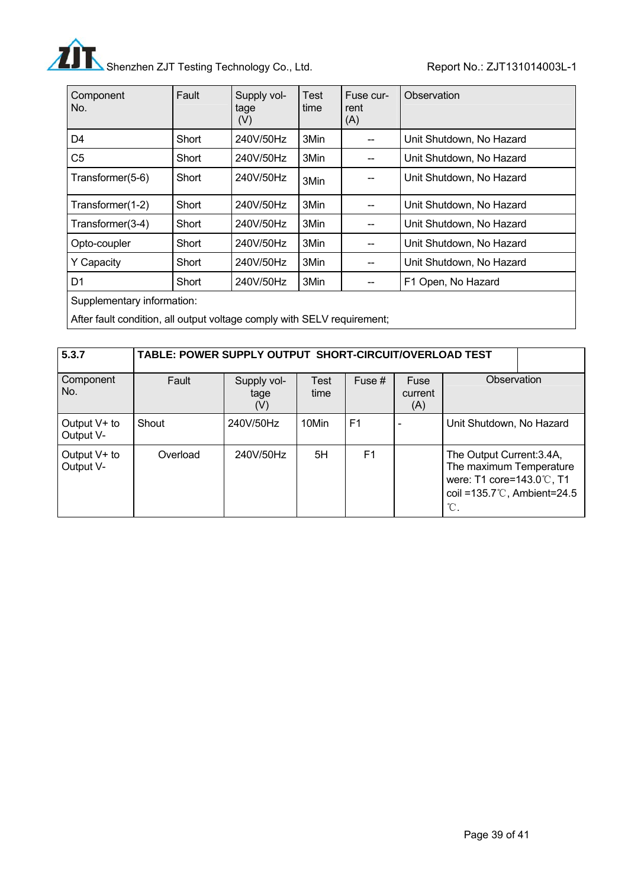

| Component<br>No.           | Fault | Supply vol-<br>tage<br>(V) | Test<br>time | Fuse cur-<br>rent<br>(A) | Observation              |
|----------------------------|-------|----------------------------|--------------|--------------------------|--------------------------|
| D <sub>4</sub>             | Short | 240V/50Hz                  | 3Min         |                          | Unit Shutdown, No Hazard |
| C <sub>5</sub>             | Short | 240V/50Hz                  | 3Min         |                          | Unit Shutdown, No Hazard |
| Transformer(5-6)           | Short | 240V/50Hz                  | 3Min         |                          | Unit Shutdown, No Hazard |
| Transformer(1-2)           | Short | 240V/50Hz                  | 3Min         |                          | Unit Shutdown, No Hazard |
| Transformer(3-4)           | Short | 240V/50Hz                  | 3Min         |                          | Unit Shutdown, No Hazard |
| Opto-coupler               | Short | 240V/50Hz                  | 3Min         | --                       | Unit Shutdown, No Hazard |
| <b>Y</b> Capacity          | Short | 240V/50Hz                  | 3Min         |                          | Unit Shutdown, No Hazard |
| D <sub>1</sub>             | Short | 240V/50Hz                  | 3Min         |                          | F1 Open, No Hazard       |
| Cupplamentary information: |       |                            |              |                          |                          |

Supplementary information:

After fault condition, all output voltage comply with SELV requirement;

| 5.3.7                       | TABLE: POWER SUPPLY OUTPUT SHORT-CIRCUIT/OVERLOAD TEST |                            |                     |                |                        |                                                                                                                                                     |  |
|-----------------------------|--------------------------------------------------------|----------------------------|---------------------|----------------|------------------------|-----------------------------------------------------------------------------------------------------------------------------------------------------|--|
| Component<br>No.            | Fault                                                  | Supply vol-<br>tage<br>(V) | <b>Test</b><br>time | Fuse $#$       | Fuse<br>current<br>(A) | Observation                                                                                                                                         |  |
| Output V+ to<br>Output V-   | Shout                                                  | 240V/50Hz                  | 10Min               | F <sub>1</sub> |                        | Unit Shutdown, No Hazard                                                                                                                            |  |
| Output $V+$ to<br>Output V- | Overload                                               | 240V/50Hz                  | 5H                  | F1             |                        | The Output Current: 3.4A,<br>The maximum Temperature<br>were: T1 core=143.0℃, T1<br>coil = $135.7^{\circ}$ C, Ambient=24.5<br>$^{\circ}\!{\rm C}$ . |  |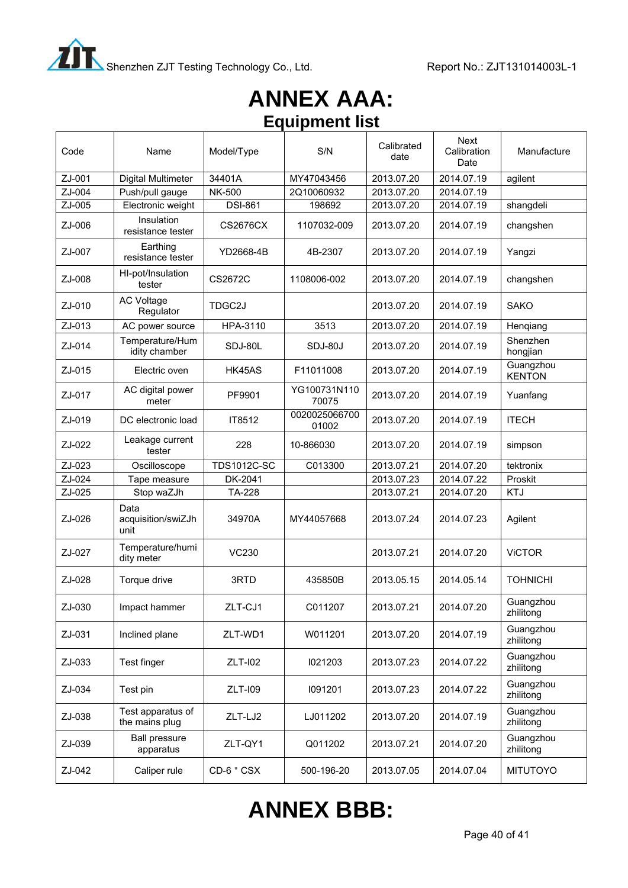

# **ANNEX AAA: Equipment list**

| Code   | Name                                | Model/Type         | S/N                    | Calibrated<br>date | <b>Next</b><br>Calibration<br>Date | Manufacture                |
|--------|-------------------------------------|--------------------|------------------------|--------------------|------------------------------------|----------------------------|
| ZJ-001 | Digital Multimeter                  | 34401A             | MY47043456             | 2013.07.20         | 2014.07.19                         | agilent                    |
| ZJ-004 | Push/pull gauge                     | <b>NK-500</b>      | 2Q10060932             | 2013.07.20         | 2014.07.19                         |                            |
| ZJ-005 | Electronic weight                   | <b>DSI-861</b>     | 198692                 | 2013.07.20         | 2014.07.19                         | shangdeli                  |
| ZJ-006 | Insulation<br>resistance tester     | <b>CS2676CX</b>    | 1107032-009            | 2013.07.20         | 2014.07.19                         | changshen                  |
| ZJ-007 | Earthing<br>resistance tester       | YD2668-4B          | 4B-2307                | 2013.07.20         | 2014.07.19                         | Yangzi                     |
| ZJ-008 | HI-pot/Insulation<br>tester         | CS2672C            | 1108006-002            | 2013.07.20         | 2014.07.19                         | changshen                  |
| ZJ-010 | <b>AC Voltage</b><br>Regulator      | TDGC2J             |                        | 2013.07.20         | 2014.07.19                         | <b>SAKO</b>                |
| ZJ-013 | AC power source                     | HPA-3110           | 3513                   | 2013.07.20         | 2014.07.19                         | Hengiang                   |
| ZJ-014 | Temperature/Hum<br>idity chamber    | SDJ-80L            | SDJ-80J                | 2013.07.20         | 2014.07.19                         | Shenzhen<br>hongjian       |
| ZJ-015 | Electric oven                       | HK45AS             | F11011008              | 2013.07.20         | 2014.07.19                         | Guangzhou<br><b>KENTON</b> |
| ZJ-017 | AC digital power<br>meter           | PF9901             | YG100731N110<br>70075  | 2013.07.20         | 2014.07.19                         | Yuanfang                   |
| ZJ-019 | DC electronic load                  | IT8512             | 0020025066700<br>01002 | 2013.07.20         | 2014.07.19                         | <b>ITECH</b>               |
| ZJ-022 | Leakage current<br>tester           | 228                | 10-866030              | 2013.07.20         | 2014.07.19                         | simpson                    |
|        |                                     |                    |                        |                    |                                    |                            |
| ZJ-023 | Oscilloscope                        | <b>TDS1012C-SC</b> | C013300                | 2013.07.21         | 2014.07.20                         | tektronix                  |
| ZJ-024 | Tape measure                        | DK-2041            |                        | 2013.07.23         | 2014.07.22                         | Proskit                    |
| ZJ-025 | Stop waZJh                          | <b>TA-228</b>      |                        | 2013.07.21         | 2014.07.20                         | <b>KTJ</b>                 |
| ZJ-026 | Data<br>acquisition/swiZJh<br>unit  | 34970A             | MY44057668             | 2013.07.24         | 2014.07.23                         | Agilent                    |
| ZJ-027 | Temperature/humi<br>dity meter      | <b>VC230</b>       |                        | 2013.07.21         | 2014.07.20                         | <b>ViCTOR</b>              |
| ZJ-028 | Torque drive                        | 3RTD               | 435850B                | 2013.05.15         | 2014.05.14                         | <b>TOHNICHI</b>            |
| ZJ-030 | Impact hammer                       | ZLT-CJ1            | C011207                | 2013.07.21         | 2014.07.20                         | Guangzhou<br>zhilitong     |
| ZJ-031 | Inclined plane                      | ZLT-WD1            | W011201                | 2013.07.20         | 2014.07.19                         | Guangzhou<br>zhilitong     |
| ZJ-033 | Test finger                         | <b>ZLT-I02</b>     | 1021203                | 2013.07.23         | 2014.07.22                         | Guangzhou<br>zhilitong     |
| ZJ-034 | Test pin                            | <b>ZLT-109</b>     | 1091201                | 2013.07.23         | 2014.07.22                         | Guangzhou<br>zhilitong     |
| ZJ-038 | Test apparatus of<br>the mains plug | ZLT-LJ2            | LJ011202               | 2013.07.20         | 2014.07.19                         | Guangzhou<br>zhilitong     |
| ZJ-039 | <b>Ball pressure</b><br>apparatus   | ZLT-QY1            | Q011202                | 2013.07.21         | 2014.07.20                         | Guangzhou<br>zhilitong     |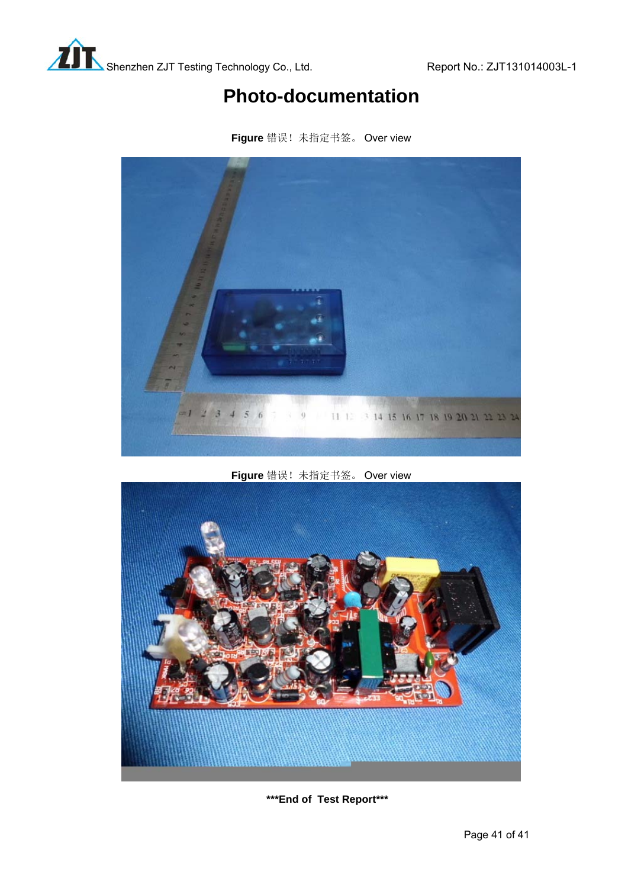# **Photo-documentation**



**Figure** 错误!未指定书签。 Over view

**Figure** 错误!未指定书签。 Over view



**\*\*\*End of Test Report\*\*\***